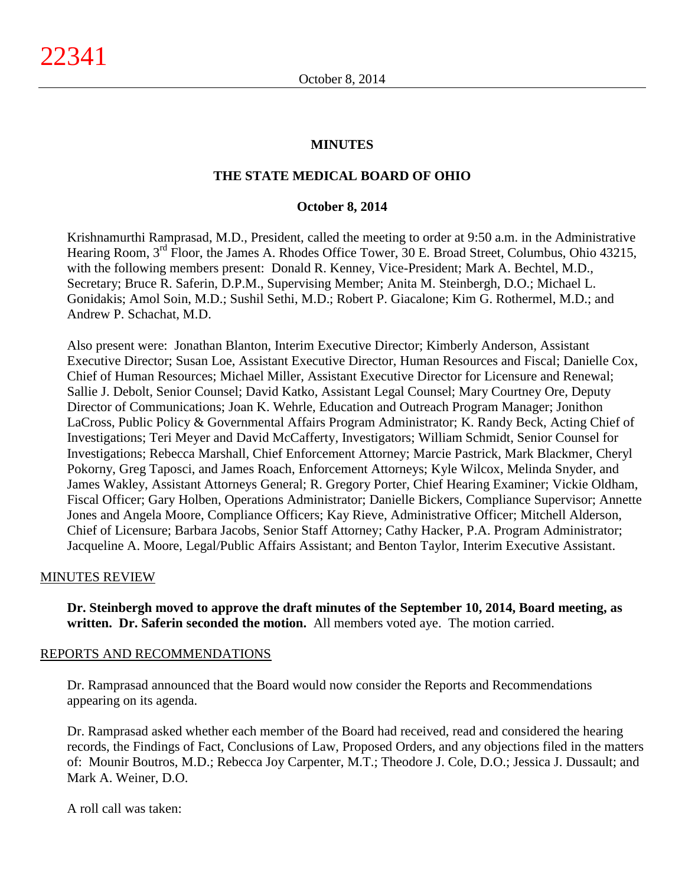## **MINUTES**

## **THE STATE MEDICAL BOARD OF OHIO**

### **October 8, 2014**

Krishnamurthi Ramprasad, M.D., President, called the meeting to order at 9:50 a.m. in the Administrative Hearing Room, 3<sup>rd</sup> Floor, the James A. Rhodes Office Tower, 30 E. Broad Street, Columbus, Ohio 43215, with the following members present: Donald R. Kenney, Vice-President; Mark A. Bechtel, M.D., Secretary; Bruce R. Saferin, D.P.M., Supervising Member; Anita M. Steinbergh, D.O.; Michael L. Gonidakis; Amol Soin, M.D.; Sushil Sethi, M.D.; Robert P. Giacalone; Kim G. Rothermel, M.D.; and Andrew P. Schachat, M.D.

Also present were: Jonathan Blanton, Interim Executive Director; Kimberly Anderson, Assistant Executive Director; Susan Loe, Assistant Executive Director, Human Resources and Fiscal; Danielle Cox, Chief of Human Resources; Michael Miller, Assistant Executive Director for Licensure and Renewal; Sallie J. Debolt, Senior Counsel; David Katko, Assistant Legal Counsel; Mary Courtney Ore, Deputy Director of Communications; Joan K. Wehrle, Education and Outreach Program Manager; Jonithon LaCross, Public Policy & Governmental Affairs Program Administrator; K. Randy Beck, Acting Chief of Investigations; Teri Meyer and David McCafferty, Investigators; William Schmidt, Senior Counsel for Investigations; Rebecca Marshall, Chief Enforcement Attorney; Marcie Pastrick, Mark Blackmer, Cheryl Pokorny, Greg Taposci, and James Roach, Enforcement Attorneys; Kyle Wilcox, Melinda Snyder, and James Wakley, Assistant Attorneys General; R. Gregory Porter, Chief Hearing Examiner; Vickie Oldham, Fiscal Officer; Gary Holben, Operations Administrator; Danielle Bickers, Compliance Supervisor; Annette Jones and Angela Moore, Compliance Officers; Kay Rieve, Administrative Officer; Mitchell Alderson, Chief of Licensure; Barbara Jacobs, Senior Staff Attorney; Cathy Hacker, P.A. Program Administrator; Jacqueline A. Moore, Legal/Public Affairs Assistant; and Benton Taylor, Interim Executive Assistant.

#### MINUTES REVIEW

**Dr. Steinbergh moved to approve the draft minutes of the September 10, 2014, Board meeting, as written. Dr. Saferin seconded the motion.** All members voted aye. The motion carried.

#### REPORTS AND RECOMMENDATIONS

Dr. Ramprasad announced that the Board would now consider the Reports and Recommendations appearing on its agenda.

Dr. Ramprasad asked whether each member of the Board had received, read and considered the hearing records, the Findings of Fact, Conclusions of Law, Proposed Orders, and any objections filed in the matters of: Mounir Boutros, M.D.; Rebecca Joy Carpenter, M.T.; Theodore J. Cole, D.O.; Jessica J. Dussault; and Mark A. Weiner, D.O.

A roll call was taken: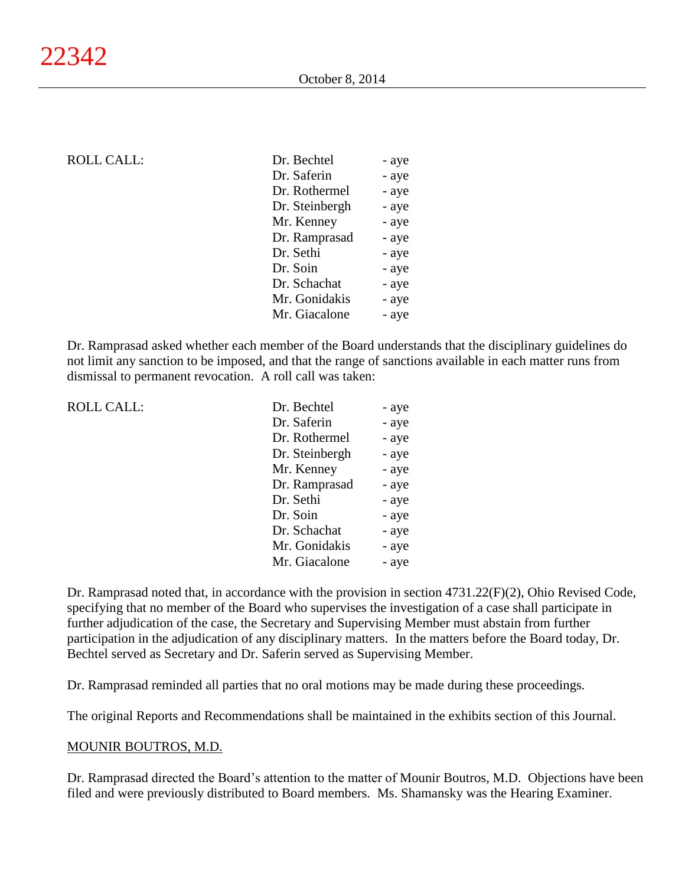## ROLL CALL:

| Dr. Bechtel    | - aye |
|----------------|-------|
| Dr. Saferin    | - aye |
| Dr. Rothermel  | - aye |
| Dr. Steinbergh | - aye |
| Mr. Kenney     | - aye |
| Dr. Ramprasad  | - aye |
| Dr. Sethi      | - aye |
| Dr. Soin       | - aye |
| Dr. Schachat   | - aye |
| Mr. Gonidakis  | - aye |
| Mr. Giacalone  | - aye |
|                |       |

Dr. Ramprasad asked whether each member of the Board understands that the disciplinary guidelines do not limit any sanction to be imposed, and that the range of sanctions available in each matter runs from dismissal to permanent revocation. A roll call was taken:

ROLL CALL:

| Dr. Bechtel    | - aye |
|----------------|-------|
| Dr. Saferin    | - aye |
| Dr. Rothermel  | - aye |
| Dr. Steinbergh | - aye |
| Mr. Kenney     | - aye |
| Dr. Ramprasad  | - aye |
| Dr. Sethi      | - aye |
| Dr. Soin       | - aye |
| Dr. Schachat   | - aye |
| Mr. Gonidakis  | - aye |
| Mr. Giacalone  | - aye |

Dr. Ramprasad noted that, in accordance with the provision in section 4731.22(F)(2), Ohio Revised Code, specifying that no member of the Board who supervises the investigation of a case shall participate in further adjudication of the case, the Secretary and Supervising Member must abstain from further participation in the adjudication of any disciplinary matters. In the matters before the Board today, Dr. Bechtel served as Secretary and Dr. Saferin served as Supervising Member.

Dr. Ramprasad reminded all parties that no oral motions may be made during these proceedings.

The original Reports and Recommendations shall be maintained in the exhibits section of this Journal.

#### MOUNIR BOUTROS, M.D.

Dr. Ramprasad directed the Board's attention to the matter of Mounir Boutros, M.D. Objections have been filed and were previously distributed to Board members. Ms. Shamansky was the Hearing Examiner.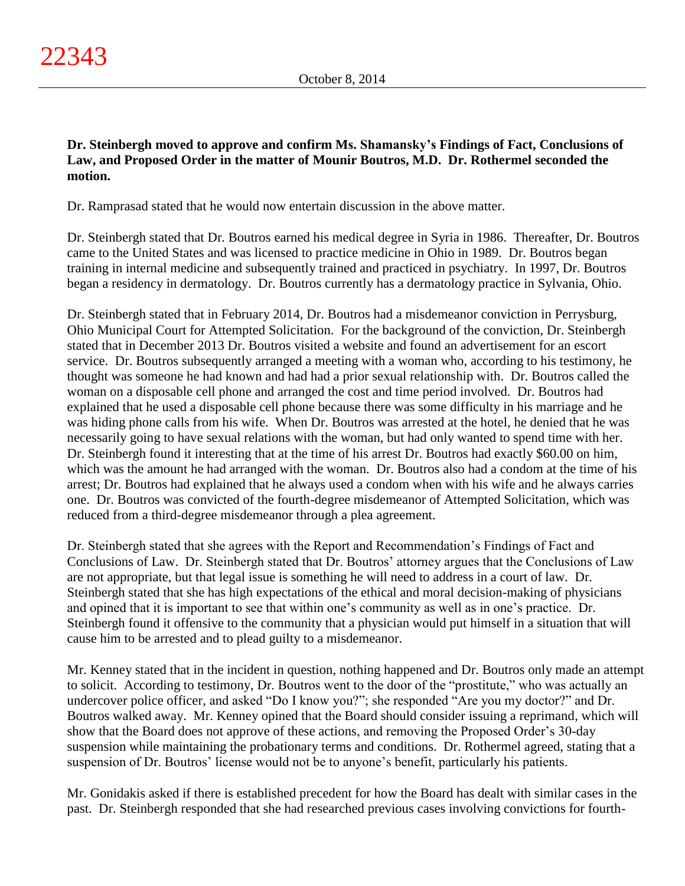**Dr. Steinbergh moved to approve and confirm Ms. Shamansky's Findings of Fact, Conclusions of Law, and Proposed Order in the matter of Mounir Boutros, M.D. Dr. Rothermel seconded the motion.**

Dr. Ramprasad stated that he would now entertain discussion in the above matter.

Dr. Steinbergh stated that Dr. Boutros earned his medical degree in Syria in 1986. Thereafter, Dr. Boutros came to the United States and was licensed to practice medicine in Ohio in 1989. Dr. Boutros began training in internal medicine and subsequently trained and practiced in psychiatry. In 1997, Dr. Boutros began a residency in dermatology. Dr. Boutros currently has a dermatology practice in Sylvania, Ohio.

Dr. Steinbergh stated that in February 2014, Dr. Boutros had a misdemeanor conviction in Perrysburg, Ohio Municipal Court for Attempted Solicitation. For the background of the conviction, Dr. Steinbergh stated that in December 2013 Dr. Boutros visited a website and found an advertisement for an escort service. Dr. Boutros subsequently arranged a meeting with a woman who, according to his testimony, he thought was someone he had known and had had a prior sexual relationship with. Dr. Boutros called the woman on a disposable cell phone and arranged the cost and time period involved. Dr. Boutros had explained that he used a disposable cell phone because there was some difficulty in his marriage and he was hiding phone calls from his wife. When Dr. Boutros was arrested at the hotel, he denied that he was necessarily going to have sexual relations with the woman, but had only wanted to spend time with her. Dr. Steinbergh found it interesting that at the time of his arrest Dr. Boutros had exactly \$60.00 on him, which was the amount he had arranged with the woman. Dr. Boutros also had a condom at the time of his arrest; Dr. Boutros had explained that he always used a condom when with his wife and he always carries one. Dr. Boutros was convicted of the fourth-degree misdemeanor of Attempted Solicitation, which was reduced from a third-degree misdemeanor through a plea agreement.

Dr. Steinbergh stated that she agrees with the Report and Recommendation's Findings of Fact and Conclusions of Law. Dr. Steinbergh stated that Dr. Boutros' attorney argues that the Conclusions of Law are not appropriate, but that legal issue is something he will need to address in a court of law. Dr. Steinbergh stated that she has high expectations of the ethical and moral decision-making of physicians and opined that it is important to see that within one's community as well as in one's practice. Dr. Steinbergh found it offensive to the community that a physician would put himself in a situation that will cause him to be arrested and to plead guilty to a misdemeanor.

Mr. Kenney stated that in the incident in question, nothing happened and Dr. Boutros only made an attempt to solicit. According to testimony, Dr. Boutros went to the door of the "prostitute," who was actually an undercover police officer, and asked "Do I know you?"; she responded "Are you my doctor?" and Dr. Boutros walked away. Mr. Kenney opined that the Board should consider issuing a reprimand, which will show that the Board does not approve of these actions, and removing the Proposed Order's 30-day suspension while maintaining the probationary terms and conditions. Dr. Rothermel agreed, stating that a suspension of Dr. Boutros' license would not be to anyone's benefit, particularly his patients.

Mr. Gonidakis asked if there is established precedent for how the Board has dealt with similar cases in the past. Dr. Steinbergh responded that she had researched previous cases involving convictions for fourth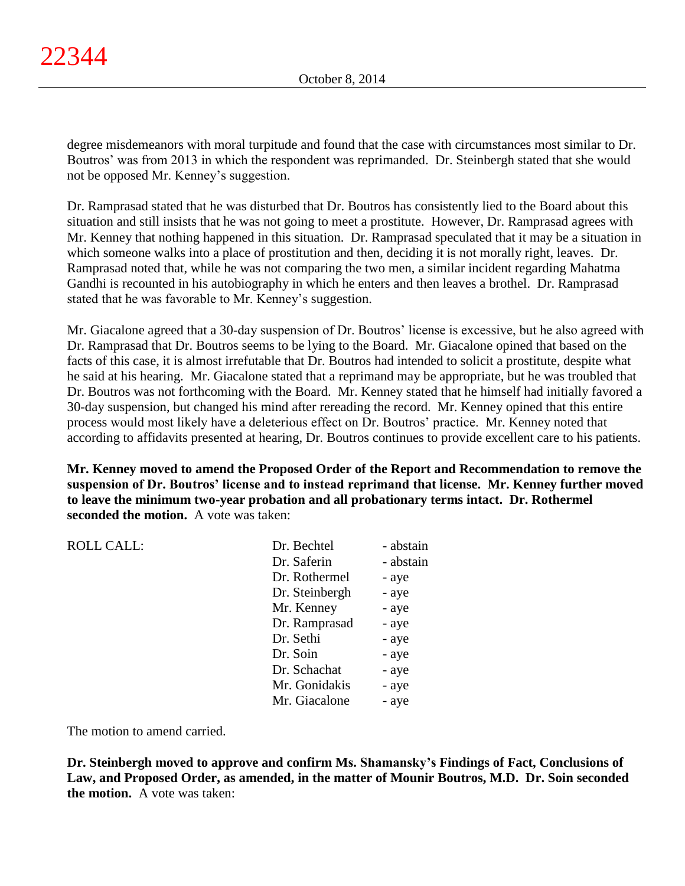degree misdemeanors with moral turpitude and found that the case with circumstances most similar to Dr. Boutros' was from 2013 in which the respondent was reprimanded. Dr. Steinbergh stated that she would not be opposed Mr. Kenney's suggestion.

Dr. Ramprasad stated that he was disturbed that Dr. Boutros has consistently lied to the Board about this situation and still insists that he was not going to meet a prostitute. However, Dr. Ramprasad agrees with Mr. Kenney that nothing happened in this situation. Dr. Ramprasad speculated that it may be a situation in which someone walks into a place of prostitution and then, deciding it is not morally right, leaves. Dr. Ramprasad noted that, while he was not comparing the two men, a similar incident regarding Mahatma Gandhi is recounted in his autobiography in which he enters and then leaves a brothel. Dr. Ramprasad stated that he was favorable to Mr. Kenney's suggestion.

Mr. Giacalone agreed that a 30-day suspension of Dr. Boutros' license is excessive, but he also agreed with Dr. Ramprasad that Dr. Boutros seems to be lying to the Board. Mr. Giacalone opined that based on the facts of this case, it is almost irrefutable that Dr. Boutros had intended to solicit a prostitute, despite what he said at his hearing. Mr. Giacalone stated that a reprimand may be appropriate, but he was troubled that Dr. Boutros was not forthcoming with the Board. Mr. Kenney stated that he himself had initially favored a 30-day suspension, but changed his mind after rereading the record. Mr. Kenney opined that this entire process would most likely have a deleterious effect on Dr. Boutros' practice. Mr. Kenney noted that according to affidavits presented at hearing, Dr. Boutros continues to provide excellent care to his patients.

**Mr. Kenney moved to amend the Proposed Order of the Report and Recommendation to remove the suspension of Dr. Boutros' license and to instead reprimand that license. Mr. Kenney further moved to leave the minimum two-year probation and all probationary terms intact. Dr. Rothermel seconded the motion.** A vote was taken:

| <b>ROLL CALL:</b> | Dr. Bechtel    | - abstain |
|-------------------|----------------|-----------|
|                   | Dr. Saferin    | - abstain |
|                   | Dr. Rothermel  | - aye     |
|                   | Dr. Steinbergh | - aye     |
|                   | Mr. Kenney     | - aye     |
|                   | Dr. Ramprasad  | - aye     |
|                   | Dr. Sethi      | - aye     |
|                   | Dr. Soin       | - aye     |
|                   | Dr. Schachat   | - aye     |
|                   | Mr. Gonidakis  | - aye     |
|                   | Mr. Giacalone  | - aye     |
|                   |                |           |

The motion to amend carried.

**Dr. Steinbergh moved to approve and confirm Ms. Shamansky's Findings of Fact, Conclusions of Law, and Proposed Order, as amended, in the matter of Mounir Boutros, M.D. Dr. Soin seconded the motion.** A vote was taken: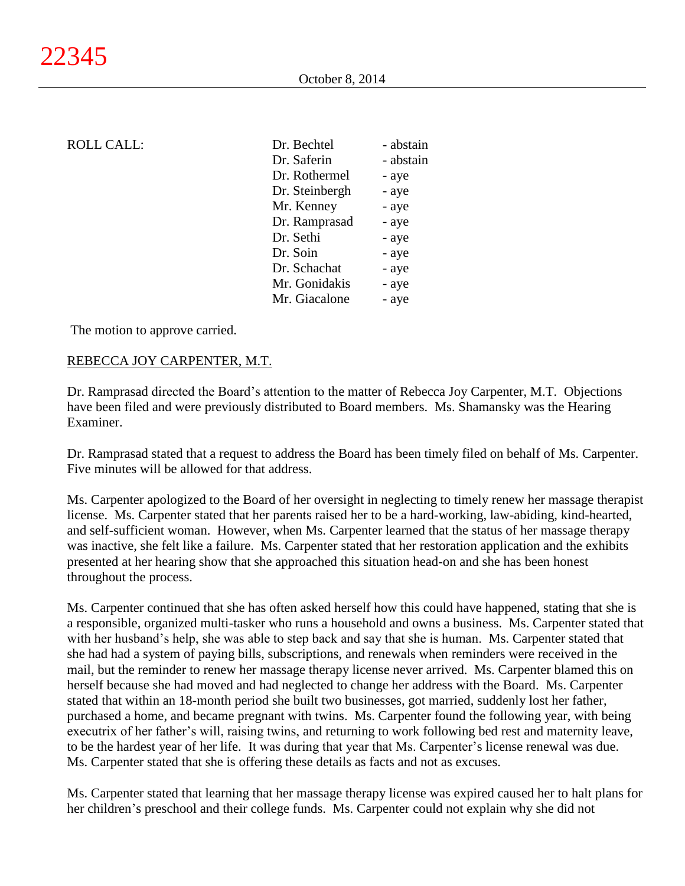| <b>ROLL CALL:</b> | Dr. Bechtel    | - abstain |
|-------------------|----------------|-----------|
|                   | Dr. Saferin    | - abstain |
|                   | Dr. Rothermel  | - aye     |
|                   | Dr. Steinbergh | - aye     |
|                   | Mr. Kenney     | - aye     |
|                   | Dr. Ramprasad  | - aye     |
|                   | Dr. Sethi      | - aye     |
|                   | Dr. Soin       | - aye     |
|                   | Dr. Schachat   | - aye     |
|                   | Mr. Gonidakis  | - aye     |
|                   | Mr. Giacalone  | - aye     |

The motion to approve carried.

### REBECCA JOY CARPENTER, M.T.

Dr. Ramprasad directed the Board's attention to the matter of Rebecca Joy Carpenter, M.T. Objections have been filed and were previously distributed to Board members. Ms. Shamansky was the Hearing Examiner.

Dr. Ramprasad stated that a request to address the Board has been timely filed on behalf of Ms. Carpenter. Five minutes will be allowed for that address.

Ms. Carpenter apologized to the Board of her oversight in neglecting to timely renew her massage therapist license. Ms. Carpenter stated that her parents raised her to be a hard-working, law-abiding, kind-hearted, and self-sufficient woman. However, when Ms. Carpenter learned that the status of her massage therapy was inactive, she felt like a failure. Ms. Carpenter stated that her restoration application and the exhibits presented at her hearing show that she approached this situation head-on and she has been honest throughout the process.

Ms. Carpenter continued that she has often asked herself how this could have happened, stating that she is a responsible, organized multi-tasker who runs a household and owns a business. Ms. Carpenter stated that with her husband's help, she was able to step back and say that she is human. Ms. Carpenter stated that she had had a system of paying bills, subscriptions, and renewals when reminders were received in the mail, but the reminder to renew her massage therapy license never arrived. Ms. Carpenter blamed this on herself because she had moved and had neglected to change her address with the Board. Ms. Carpenter stated that within an 18-month period she built two businesses, got married, suddenly lost her father, purchased a home, and became pregnant with twins. Ms. Carpenter found the following year, with being executrix of her father's will, raising twins, and returning to work following bed rest and maternity leave, to be the hardest year of her life. It was during that year that Ms. Carpenter's license renewal was due. Ms. Carpenter stated that she is offering these details as facts and not as excuses.

Ms. Carpenter stated that learning that her massage therapy license was expired caused her to halt plans for her children's preschool and their college funds. Ms. Carpenter could not explain why she did not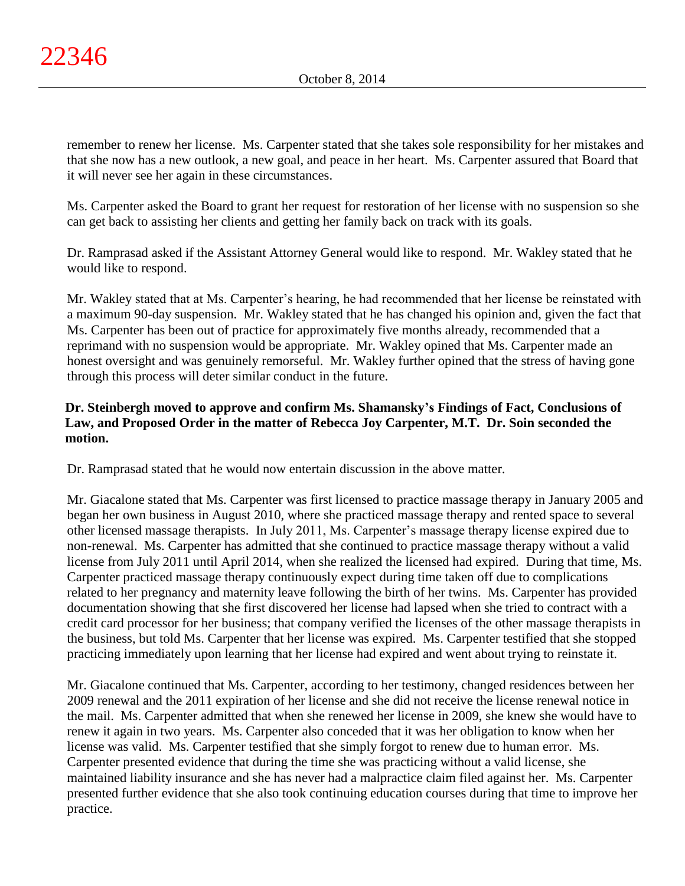remember to renew her license. Ms. Carpenter stated that she takes sole responsibility for her mistakes and that she now has a new outlook, a new goal, and peace in her heart. Ms. Carpenter assured that Board that it will never see her again in these circumstances.

Ms. Carpenter asked the Board to grant her request for restoration of her license with no suspension so she can get back to assisting her clients and getting her family back on track with its goals.

Dr. Ramprasad asked if the Assistant Attorney General would like to respond. Mr. Wakley stated that he would like to respond.

Mr. Wakley stated that at Ms. Carpenter's hearing, he had recommended that her license be reinstated with a maximum 90-day suspension. Mr. Wakley stated that he has changed his opinion and, given the fact that Ms. Carpenter has been out of practice for approximately five months already, recommended that a reprimand with no suspension would be appropriate. Mr. Wakley opined that Ms. Carpenter made an honest oversight and was genuinely remorseful. Mr. Wakley further opined that the stress of having gone through this process will deter similar conduct in the future.

# **Dr. Steinbergh moved to approve and confirm Ms. Shamansky's Findings of Fact, Conclusions of Law, and Proposed Order in the matter of Rebecca Joy Carpenter, M.T. Dr. Soin seconded the motion.**

Dr. Ramprasad stated that he would now entertain discussion in the above matter.

Mr. Giacalone stated that Ms. Carpenter was first licensed to practice massage therapy in January 2005 and began her own business in August 2010, where she practiced massage therapy and rented space to several other licensed massage therapists. In July 2011, Ms. Carpenter's massage therapy license expired due to non-renewal. Ms. Carpenter has admitted that she continued to practice massage therapy without a valid license from July 2011 until April 2014, when she realized the licensed had expired. During that time, Ms. Carpenter practiced massage therapy continuously expect during time taken off due to complications related to her pregnancy and maternity leave following the birth of her twins. Ms. Carpenter has provided documentation showing that she first discovered her license had lapsed when she tried to contract with a credit card processor for her business; that company verified the licenses of the other massage therapists in the business, but told Ms. Carpenter that her license was expired. Ms. Carpenter testified that she stopped practicing immediately upon learning that her license had expired and went about trying to reinstate it.

Mr. Giacalone continued that Ms. Carpenter, according to her testimony, changed residences between her 2009 renewal and the 2011 expiration of her license and she did not receive the license renewal notice in the mail. Ms. Carpenter admitted that when she renewed her license in 2009, she knew she would have to renew it again in two years. Ms. Carpenter also conceded that it was her obligation to know when her license was valid. Ms. Carpenter testified that she simply forgot to renew due to human error. Ms. Carpenter presented evidence that during the time she was practicing without a valid license, she maintained liability insurance and she has never had a malpractice claim filed against her. Ms. Carpenter presented further evidence that she also took continuing education courses during that time to improve her practice.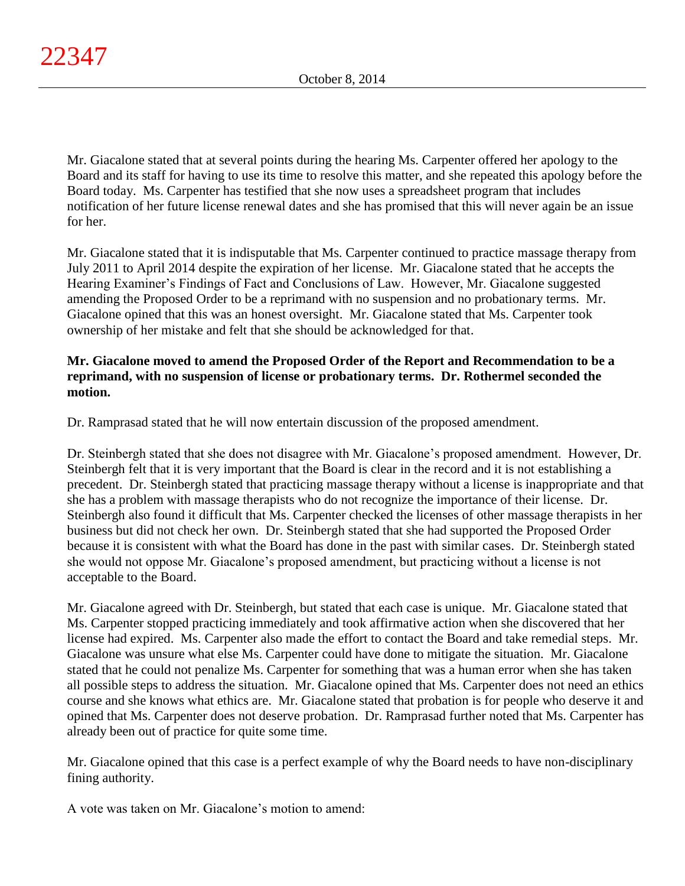Mr. Giacalone stated that at several points during the hearing Ms. Carpenter offered her apology to the Board and its staff for having to use its time to resolve this matter, and she repeated this apology before the Board today. Ms. Carpenter has testified that she now uses a spreadsheet program that includes notification of her future license renewal dates and she has promised that this will never again be an issue for her.

Mr. Giacalone stated that it is indisputable that Ms. Carpenter continued to practice massage therapy from July 2011 to April 2014 despite the expiration of her license. Mr. Giacalone stated that he accepts the Hearing Examiner's Findings of Fact and Conclusions of Law. However, Mr. Giacalone suggested amending the Proposed Order to be a reprimand with no suspension and no probationary terms. Mr. Giacalone opined that this was an honest oversight. Mr. Giacalone stated that Ms. Carpenter took ownership of her mistake and felt that she should be acknowledged for that.

## **Mr. Giacalone moved to amend the Proposed Order of the Report and Recommendation to be a reprimand, with no suspension of license or probationary terms. Dr. Rothermel seconded the motion.**

Dr. Ramprasad stated that he will now entertain discussion of the proposed amendment.

Dr. Steinbergh stated that she does not disagree with Mr. Giacalone's proposed amendment. However, Dr. Steinbergh felt that it is very important that the Board is clear in the record and it is not establishing a precedent. Dr. Steinbergh stated that practicing massage therapy without a license is inappropriate and that she has a problem with massage therapists who do not recognize the importance of their license. Dr. Steinbergh also found it difficult that Ms. Carpenter checked the licenses of other massage therapists in her business but did not check her own. Dr. Steinbergh stated that she had supported the Proposed Order because it is consistent with what the Board has done in the past with similar cases. Dr. Steinbergh stated she would not oppose Mr. Giacalone's proposed amendment, but practicing without a license is not acceptable to the Board.

Mr. Giacalone agreed with Dr. Steinbergh, but stated that each case is unique. Mr. Giacalone stated that Ms. Carpenter stopped practicing immediately and took affirmative action when she discovered that her license had expired. Ms. Carpenter also made the effort to contact the Board and take remedial steps. Mr. Giacalone was unsure what else Ms. Carpenter could have done to mitigate the situation. Mr. Giacalone stated that he could not penalize Ms. Carpenter for something that was a human error when she has taken all possible steps to address the situation. Mr. Giacalone opined that Ms. Carpenter does not need an ethics course and she knows what ethics are. Mr. Giacalone stated that probation is for people who deserve it and opined that Ms. Carpenter does not deserve probation. Dr. Ramprasad further noted that Ms. Carpenter has already been out of practice for quite some time.

Mr. Giacalone opined that this case is a perfect example of why the Board needs to have non-disciplinary fining authority.

A vote was taken on Mr. Giacalone's motion to amend: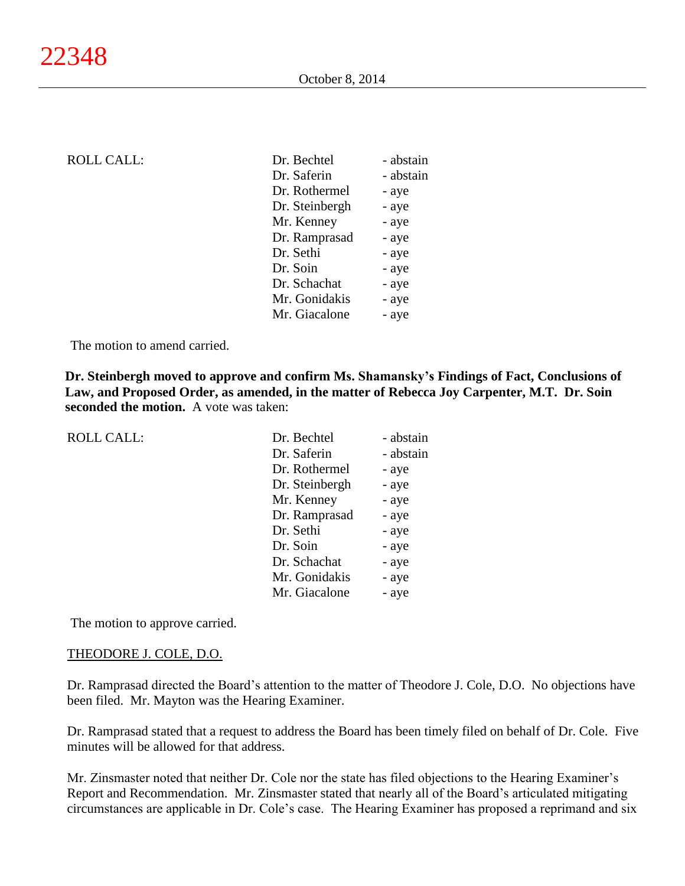| <b>ROLL CALL:</b> | Dr. Bechtel    | - abstain |
|-------------------|----------------|-----------|
|                   | Dr. Saferin    | - abstain |
|                   | Dr. Rothermel  | - aye     |
|                   | Dr. Steinbergh | - aye     |
|                   | Mr. Kenney     | - aye     |
|                   | Dr. Ramprasad  | - aye     |
|                   | Dr. Sethi      | - aye     |
|                   | Dr. Soin       | - aye     |
|                   | Dr. Schachat   | - aye     |
|                   | Mr. Gonidakis  | - aye     |
|                   | Mr. Giacalone  | - aye     |
|                   |                |           |

The motion to amend carried.

**Dr. Steinbergh moved to approve and confirm Ms. Shamansky's Findings of Fact, Conclusions of Law, and Proposed Order, as amended, in the matter of Rebecca Joy Carpenter, M.T. Dr. Soin seconded the motion.** A vote was taken:

| <b>ROLL CALL:</b> | Dr. Bechtel    | - abstain |
|-------------------|----------------|-----------|
|                   | Dr. Saferin    | - abstain |
|                   | Dr. Rothermel  | - aye     |
|                   | Dr. Steinbergh | - aye     |
|                   | Mr. Kenney     | - aye     |
|                   | Dr. Ramprasad  | - aye     |
|                   | Dr. Sethi      | - aye     |
|                   | Dr. Soin       | - aye     |
|                   | Dr. Schachat   | - aye     |
|                   | Mr. Gonidakis  | - aye     |
|                   | Mr. Giacalone  | - aye     |

The motion to approve carried.

#### THEODORE J. COLE, D.O.

Dr. Ramprasad directed the Board's attention to the matter of Theodore J. Cole, D.O. No objections have been filed. Mr. Mayton was the Hearing Examiner.

Dr. Ramprasad stated that a request to address the Board has been timely filed on behalf of Dr. Cole. Five minutes will be allowed for that address.

Mr. Zinsmaster noted that neither Dr. Cole nor the state has filed objections to the Hearing Examiner's Report and Recommendation. Mr. Zinsmaster stated that nearly all of the Board's articulated mitigating circumstances are applicable in Dr. Cole's case. The Hearing Examiner has proposed a reprimand and six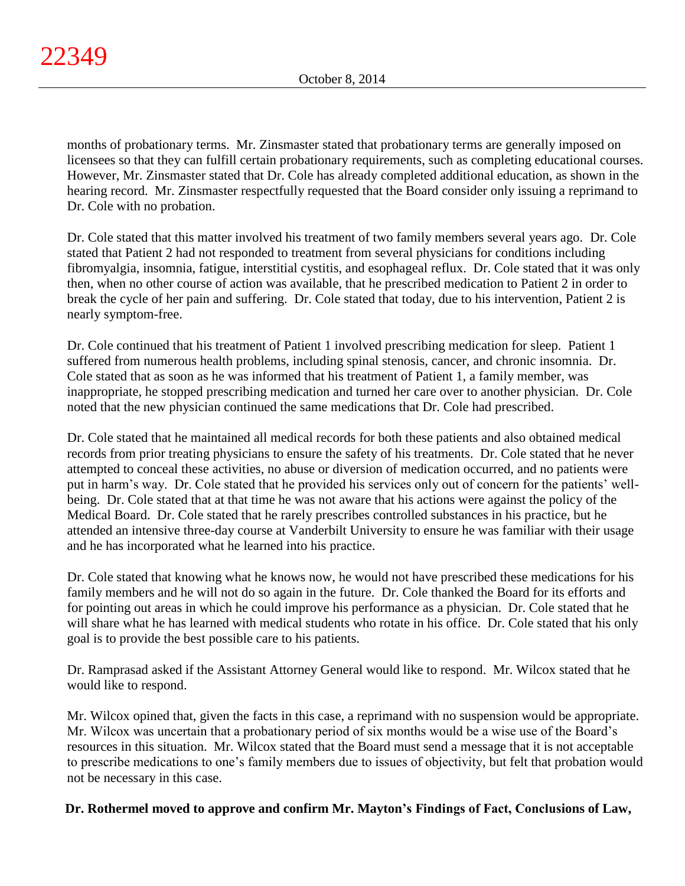months of probationary terms. Mr. Zinsmaster stated that probationary terms are generally imposed on licensees so that they can fulfill certain probationary requirements, such as completing educational courses. However, Mr. Zinsmaster stated that Dr. Cole has already completed additional education, as shown in the hearing record. Mr. Zinsmaster respectfully requested that the Board consider only issuing a reprimand to Dr. Cole with no probation.

Dr. Cole stated that this matter involved his treatment of two family members several years ago. Dr. Cole stated that Patient 2 had not responded to treatment from several physicians for conditions including fibromyalgia, insomnia, fatigue, interstitial cystitis, and esophageal reflux. Dr. Cole stated that it was only then, when no other course of action was available, that he prescribed medication to Patient 2 in order to break the cycle of her pain and suffering. Dr. Cole stated that today, due to his intervention, Patient 2 is nearly symptom-free.

Dr. Cole continued that his treatment of Patient 1 involved prescribing medication for sleep. Patient 1 suffered from numerous health problems, including spinal stenosis, cancer, and chronic insomnia. Dr. Cole stated that as soon as he was informed that his treatment of Patient 1, a family member, was inappropriate, he stopped prescribing medication and turned her care over to another physician. Dr. Cole noted that the new physician continued the same medications that Dr. Cole had prescribed.

Dr. Cole stated that he maintained all medical records for both these patients and also obtained medical records from prior treating physicians to ensure the safety of his treatments. Dr. Cole stated that he never attempted to conceal these activities, no abuse or diversion of medication occurred, and no patients were put in harm's way. Dr. Cole stated that he provided his services only out of concern for the patients' wellbeing. Dr. Cole stated that at that time he was not aware that his actions were against the policy of the Medical Board. Dr. Cole stated that he rarely prescribes controlled substances in his practice, but he attended an intensive three-day course at Vanderbilt University to ensure he was familiar with their usage and he has incorporated what he learned into his practice.

Dr. Cole stated that knowing what he knows now, he would not have prescribed these medications for his family members and he will not do so again in the future. Dr. Cole thanked the Board for its efforts and for pointing out areas in which he could improve his performance as a physician. Dr. Cole stated that he will share what he has learned with medical students who rotate in his office. Dr. Cole stated that his only goal is to provide the best possible care to his patients.

Dr. Ramprasad asked if the Assistant Attorney General would like to respond. Mr. Wilcox stated that he would like to respond.

Mr. Wilcox opined that, given the facts in this case, a reprimand with no suspension would be appropriate. Mr. Wilcox was uncertain that a probationary period of six months would be a wise use of the Board's resources in this situation. Mr. Wilcox stated that the Board must send a message that it is not acceptable to prescribe medications to one's family members due to issues of objectivity, but felt that probation would not be necessary in this case.

# **Dr. Rothermel moved to approve and confirm Mr. Mayton's Findings of Fact, Conclusions of Law,**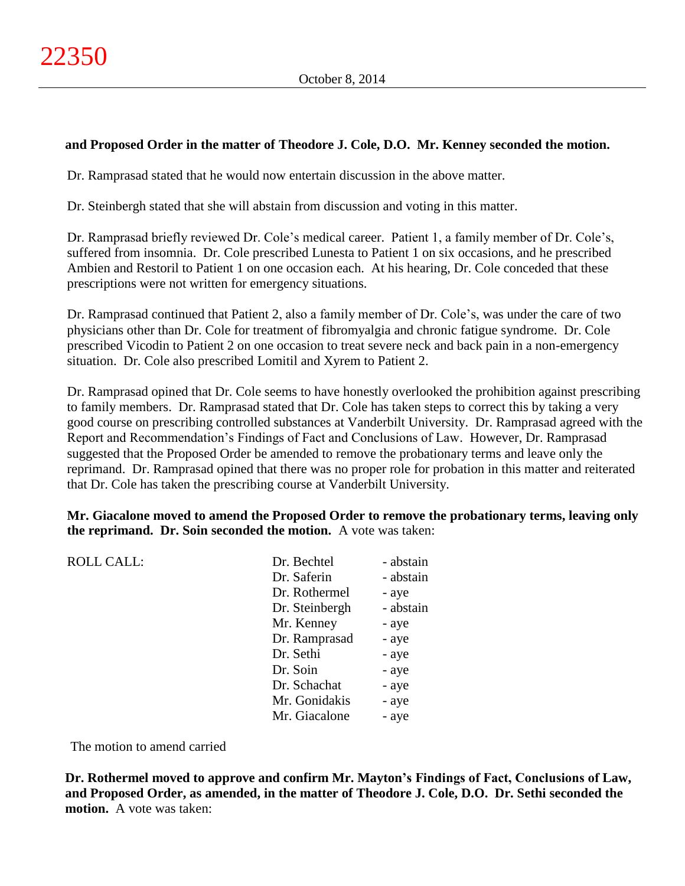## **and Proposed Order in the matter of Theodore J. Cole, D.O. Mr. Kenney seconded the motion.**

Dr. Ramprasad stated that he would now entertain discussion in the above matter.

Dr. Steinbergh stated that she will abstain from discussion and voting in this matter.

Dr. Ramprasad briefly reviewed Dr. Cole's medical career. Patient 1, a family member of Dr. Cole's, suffered from insomnia. Dr. Cole prescribed Lunesta to Patient 1 on six occasions, and he prescribed Ambien and Restoril to Patient 1 on one occasion each. At his hearing, Dr. Cole conceded that these prescriptions were not written for emergency situations.

Dr. Ramprasad continued that Patient 2, also a family member of Dr. Cole's, was under the care of two physicians other than Dr. Cole for treatment of fibromyalgia and chronic fatigue syndrome. Dr. Cole prescribed Vicodin to Patient 2 on one occasion to treat severe neck and back pain in a non-emergency situation. Dr. Cole also prescribed Lomitil and Xyrem to Patient 2.

Dr. Ramprasad opined that Dr. Cole seems to have honestly overlooked the prohibition against prescribing to family members. Dr. Ramprasad stated that Dr. Cole has taken steps to correct this by taking a very good course on prescribing controlled substances at Vanderbilt University. Dr. Ramprasad agreed with the Report and Recommendation's Findings of Fact and Conclusions of Law. However, Dr. Ramprasad suggested that the Proposed Order be amended to remove the probationary terms and leave only the reprimand. Dr. Ramprasad opined that there was no proper role for probation in this matter and reiterated that Dr. Cole has taken the prescribing course at Vanderbilt University.

## **Mr. Giacalone moved to amend the Proposed Order to remove the probationary terms, leaving only the reprimand. Dr. Soin seconded the motion.** A vote was taken:

| <b>ROLL CALL:</b> | Dr. Bechtel    | - abstain |
|-------------------|----------------|-----------|
|                   | Dr. Saferin    | - abstain |
|                   | Dr. Rothermel  | - aye     |
|                   | Dr. Steinbergh | - abstain |
|                   | Mr. Kenney     | - aye     |
|                   | Dr. Ramprasad  | - aye     |
|                   | Dr. Sethi      | - aye     |
|                   | Dr. Soin       | - aye     |
|                   | Dr. Schachat   | - aye     |
|                   | Mr. Gonidakis  | - aye     |
|                   | Mr. Giacalone  | - aye     |
|                   |                |           |

The motion to amend carried

**Dr. Rothermel moved to approve and confirm Mr. Mayton's Findings of Fact, Conclusions of Law, and Proposed Order, as amended, in the matter of Theodore J. Cole, D.O. Dr. Sethi seconded the motion.** A vote was taken: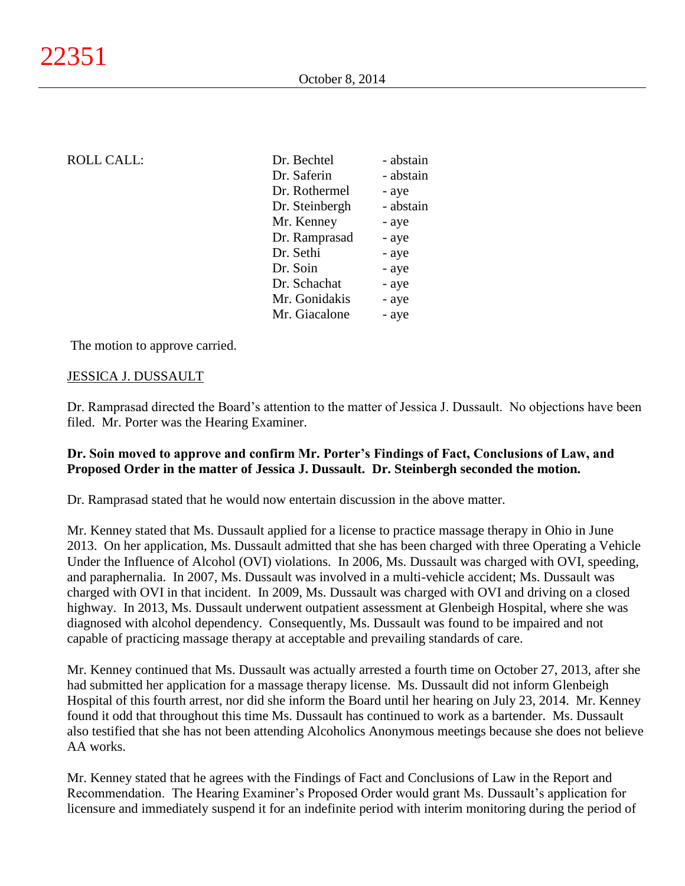| <b>ROLL CALL:</b> |  |
|-------------------|--|
|-------------------|--|

| <b>ROLL CALL:</b> | Dr. Bechtel    | - abstain |
|-------------------|----------------|-----------|
|                   | Dr. Saferin    | - abstain |
|                   | Dr. Rothermel  | - aye     |
|                   | Dr. Steinbergh | - abstain |
|                   | Mr. Kenney     | - aye     |
|                   | Dr. Ramprasad  | - aye     |
|                   | Dr. Sethi      | - aye     |
|                   | Dr. Soin       | - aye     |
|                   | Dr. Schachat   | - aye     |
|                   | Mr. Gonidakis  | - aye     |
|                   | Mr. Giacalone  | - aye     |
|                   |                |           |

The motion to approve carried.

### JESSICA J. DUSSAULT

Dr. Ramprasad directed the Board's attention to the matter of Jessica J. Dussault. No objections have been filed. Mr. Porter was the Hearing Examiner.

## **Dr. Soin moved to approve and confirm Mr. Porter's Findings of Fact, Conclusions of Law, and Proposed Order in the matter of Jessica J. Dussault. Dr. Steinbergh seconded the motion.**

Dr. Ramprasad stated that he would now entertain discussion in the above matter.

Mr. Kenney stated that Ms. Dussault applied for a license to practice massage therapy in Ohio in June 2013. On her application, Ms. Dussault admitted that she has been charged with three Operating a Vehicle Under the Influence of Alcohol (OVI) violations. In 2006, Ms. Dussault was charged with OVI, speeding, and paraphernalia. In 2007, Ms. Dussault was involved in a multi-vehicle accident; Ms. Dussault was charged with OVI in that incident. In 2009, Ms. Dussault was charged with OVI and driving on a closed highway. In 2013, Ms. Dussault underwent outpatient assessment at Glenbeigh Hospital, where she was diagnosed with alcohol dependency. Consequently, Ms. Dussault was found to be impaired and not capable of practicing massage therapy at acceptable and prevailing standards of care.

Mr. Kenney continued that Ms. Dussault was actually arrested a fourth time on October 27, 2013, after she had submitted her application for a massage therapy license. Ms. Dussault did not inform Glenbeigh Hospital of this fourth arrest, nor did she inform the Board until her hearing on July 23, 2014. Mr. Kenney found it odd that throughout this time Ms. Dussault has continued to work as a bartender. Ms. Dussault also testified that she has not been attending Alcoholics Anonymous meetings because she does not believe AA works.

Mr. Kenney stated that he agrees with the Findings of Fact and Conclusions of Law in the Report and Recommendation. The Hearing Examiner's Proposed Order would grant Ms. Dussault's application for licensure and immediately suspend it for an indefinite period with interim monitoring during the period of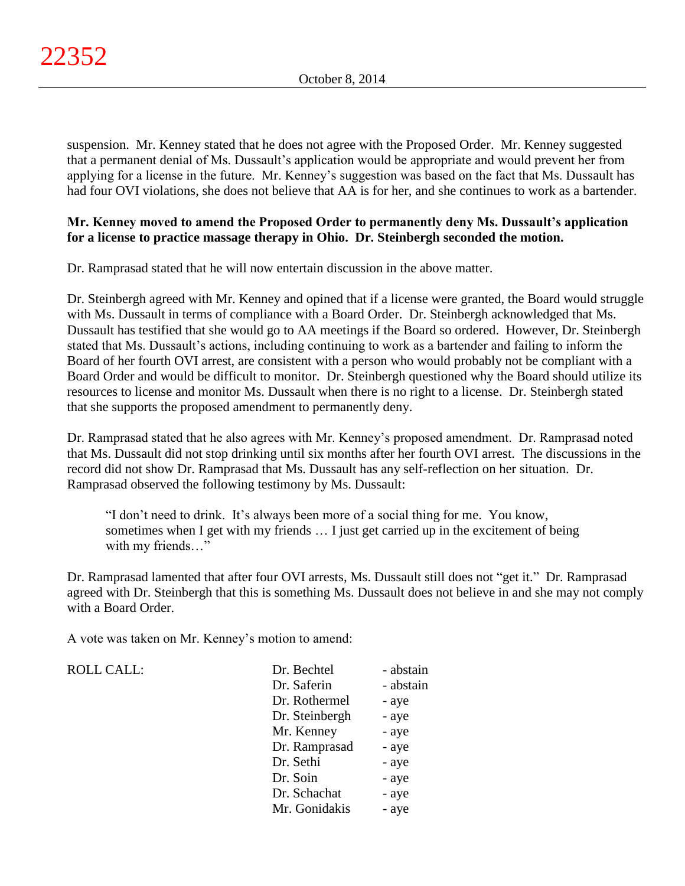suspension. Mr. Kenney stated that he does not agree with the Proposed Order. Mr. Kenney suggested that a permanent denial of Ms. Dussault's application would be appropriate and would prevent her from applying for a license in the future. Mr. Kenney's suggestion was based on the fact that Ms. Dussault has had four OVI violations, she does not believe that AA is for her, and she continues to work as a bartender.

## **Mr. Kenney moved to amend the Proposed Order to permanently deny Ms. Dussault's application for a license to practice massage therapy in Ohio. Dr. Steinbergh seconded the motion.**

Dr. Ramprasad stated that he will now entertain discussion in the above matter.

Dr. Steinbergh agreed with Mr. Kenney and opined that if a license were granted, the Board would struggle with Ms. Dussault in terms of compliance with a Board Order. Dr. Steinbergh acknowledged that Ms. Dussault has testified that she would go to AA meetings if the Board so ordered. However, Dr. Steinbergh stated that Ms. Dussault's actions, including continuing to work as a bartender and failing to inform the Board of her fourth OVI arrest, are consistent with a person who would probably not be compliant with a Board Order and would be difficult to monitor. Dr. Steinbergh questioned why the Board should utilize its resources to license and monitor Ms. Dussault when there is no right to a license. Dr. Steinbergh stated that she supports the proposed amendment to permanently deny.

Dr. Ramprasad stated that he also agrees with Mr. Kenney's proposed amendment. Dr. Ramprasad noted that Ms. Dussault did not stop drinking until six months after her fourth OVI arrest. The discussions in the record did not show Dr. Ramprasad that Ms. Dussault has any self-reflection on her situation. Dr. Ramprasad observed the following testimony by Ms. Dussault:

"I don't need to drink. It's always been more of a social thing for me. You know, sometimes when I get with my friends … I just get carried up in the excitement of being with my friends..."

Dr. Ramprasad lamented that after four OVI arrests, Ms. Dussault still does not "get it." Dr. Ramprasad agreed with Dr. Steinbergh that this is something Ms. Dussault does not believe in and she may not comply with a Board Order.

A vote was taken on Mr. Kenney's motion to amend:

ROLL CALL:

| Dr. Bechtel    | - abstain |
|----------------|-----------|
| Dr. Saferin    | - abstain |
| Dr. Rothermel  | - aye     |
| Dr. Steinbergh | - aye     |
| Mr. Kenney     | - aye     |
| Dr. Ramprasad  | - aye     |
| Dr. Sethi      | - aye     |
| Dr. Soin       | - aye     |
| Dr. Schachat   | - aye     |
| Mr. Gonidakis  | - aye     |
|                |           |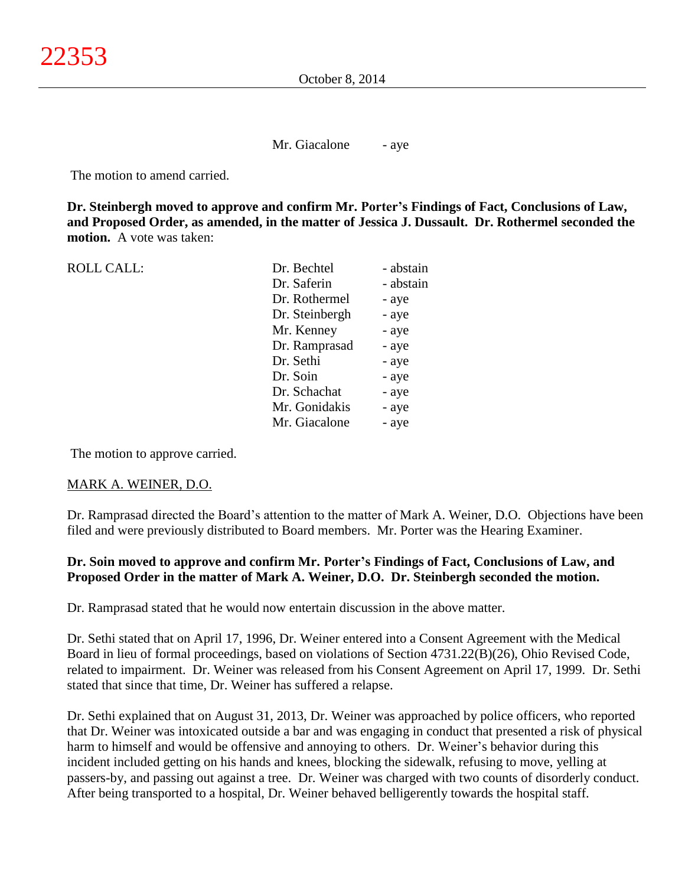Mr. Giacalone - aye

The motion to amend carried.

**Dr. Steinbergh moved to approve and confirm Mr. Porter's Findings of Fact, Conclusions of Law, and Proposed Order, as amended, in the matter of Jessica J. Dussault. Dr. Rothermel seconded the motion.** A vote was taken:

| <b>ROLL CALL:</b> | Dr. Bechtel    | - abstain |
|-------------------|----------------|-----------|
|                   | Dr. Saferin    | - abstain |
|                   | Dr. Rothermel  | - aye     |
|                   | Dr. Steinbergh | - aye     |
|                   | Mr. Kenney     | - aye     |
|                   | Dr. Ramprasad  | - aye     |
|                   | Dr. Sethi      | - aye     |
|                   | Dr. Soin       | - aye     |
|                   | Dr. Schachat   | - aye     |
|                   | Mr. Gonidakis  | - aye     |
|                   | Mr. Giacalone  | - aye     |
|                   |                |           |

The motion to approve carried.

#### MARK A. WEINER, D.O.

Dr. Ramprasad directed the Board's attention to the matter of Mark A. Weiner, D.O. Objections have been filed and were previously distributed to Board members. Mr. Porter was the Hearing Examiner.

## **Dr. Soin moved to approve and confirm Mr. Porter's Findings of Fact, Conclusions of Law, and Proposed Order in the matter of Mark A. Weiner, D.O. Dr. Steinbergh seconded the motion.**

Dr. Ramprasad stated that he would now entertain discussion in the above matter.

Dr. Sethi stated that on April 17, 1996, Dr. Weiner entered into a Consent Agreement with the Medical Board in lieu of formal proceedings, based on violations of Section 4731.22(B)(26), Ohio Revised Code, related to impairment. Dr. Weiner was released from his Consent Agreement on April 17, 1999. Dr. Sethi stated that since that time, Dr. Weiner has suffered a relapse.

Dr. Sethi explained that on August 31, 2013, Dr. Weiner was approached by police officers, who reported that Dr. Weiner was intoxicated outside a bar and was engaging in conduct that presented a risk of physical harm to himself and would be offensive and annoying to others. Dr. Weiner's behavior during this incident included getting on his hands and knees, blocking the sidewalk, refusing to move, yelling at passers-by, and passing out against a tree. Dr. Weiner was charged with two counts of disorderly conduct. After being transported to a hospital, Dr. Weiner behaved belligerently towards the hospital staff.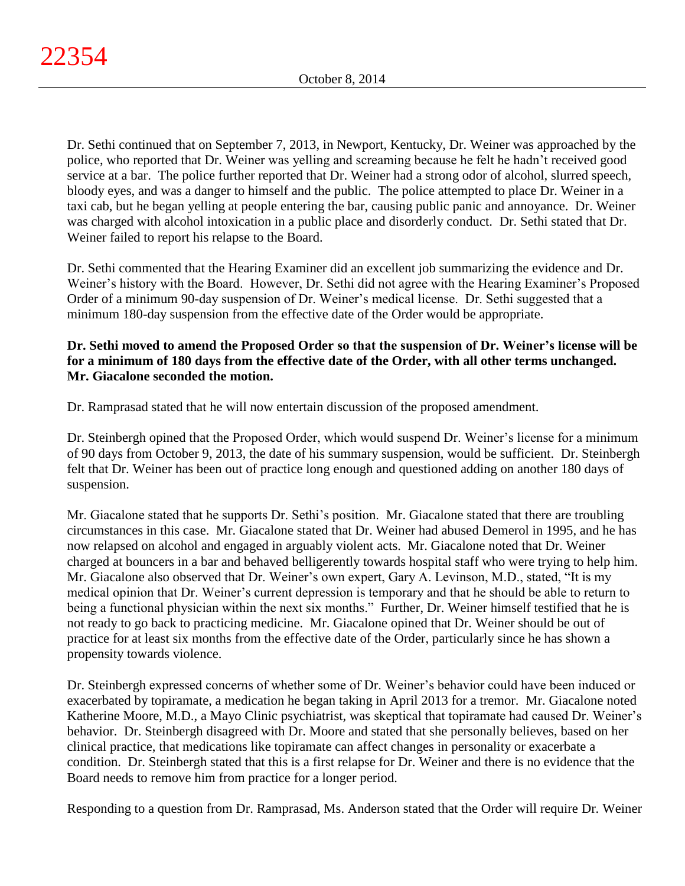Dr. Sethi continued that on September 7, 2013, in Newport, Kentucky, Dr. Weiner was approached by the police, who reported that Dr. Weiner was yelling and screaming because he felt he hadn't received good service at a bar. The police further reported that Dr. Weiner had a strong odor of alcohol, slurred speech, bloody eyes, and was a danger to himself and the public. The police attempted to place Dr. Weiner in a taxi cab, but he began yelling at people entering the bar, causing public panic and annoyance. Dr. Weiner was charged with alcohol intoxication in a public place and disorderly conduct. Dr. Sethi stated that Dr. Weiner failed to report his relapse to the Board.

Dr. Sethi commented that the Hearing Examiner did an excellent job summarizing the evidence and Dr. Weiner's history with the Board. However, Dr. Sethi did not agree with the Hearing Examiner's Proposed Order of a minimum 90-day suspension of Dr. Weiner's medical license. Dr. Sethi suggested that a minimum 180-day suspension from the effective date of the Order would be appropriate.

## **Dr. Sethi moved to amend the Proposed Order so that the suspension of Dr. Weiner's license will be for a minimum of 180 days from the effective date of the Order, with all other terms unchanged. Mr. Giacalone seconded the motion.**

Dr. Ramprasad stated that he will now entertain discussion of the proposed amendment.

Dr. Steinbergh opined that the Proposed Order, which would suspend Dr. Weiner's license for a minimum of 90 days from October 9, 2013, the date of his summary suspension, would be sufficient. Dr. Steinbergh felt that Dr. Weiner has been out of practice long enough and questioned adding on another 180 days of suspension.

Mr. Giacalone stated that he supports Dr. Sethi's position. Mr. Giacalone stated that there are troubling circumstances in this case. Mr. Giacalone stated that Dr. Weiner had abused Demerol in 1995, and he has now relapsed on alcohol and engaged in arguably violent acts. Mr. Giacalone noted that Dr. Weiner charged at bouncers in a bar and behaved belligerently towards hospital staff who were trying to help him. Mr. Giacalone also observed that Dr. Weiner's own expert, Gary A. Levinson, M.D., stated, "It is my medical opinion that Dr. Weiner's current depression is temporary and that he should be able to return to being a functional physician within the next six months." Further, Dr. Weiner himself testified that he is not ready to go back to practicing medicine. Mr. Giacalone opined that Dr. Weiner should be out of practice for at least six months from the effective date of the Order, particularly since he has shown a propensity towards violence.

Dr. Steinbergh expressed concerns of whether some of Dr. Weiner's behavior could have been induced or exacerbated by topiramate, a medication he began taking in April 2013 for a tremor. Mr. Giacalone noted Katherine Moore, M.D., a Mayo Clinic psychiatrist, was skeptical that topiramate had caused Dr. Weiner's behavior. Dr. Steinbergh disagreed with Dr. Moore and stated that she personally believes, based on her clinical practice, that medications like topiramate can affect changes in personality or exacerbate a condition. Dr. Steinbergh stated that this is a first relapse for Dr. Weiner and there is no evidence that the Board needs to remove him from practice for a longer period.

Responding to a question from Dr. Ramprasad, Ms. Anderson stated that the Order will require Dr. Weiner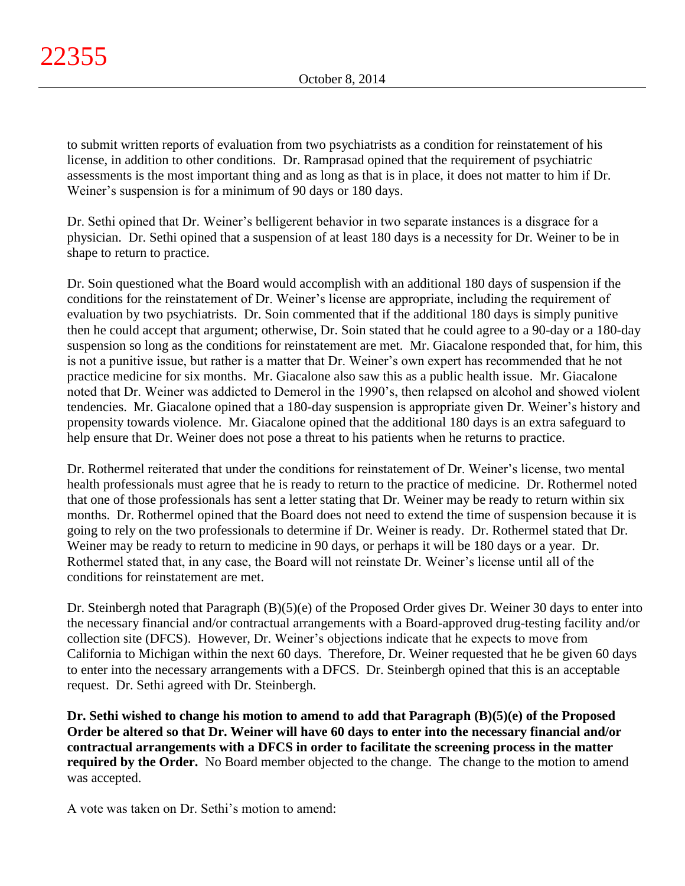to submit written reports of evaluation from two psychiatrists as a condition for reinstatement of his license, in addition to other conditions. Dr. Ramprasad opined that the requirement of psychiatric assessments is the most important thing and as long as that is in place, it does not matter to him if Dr. Weiner's suspension is for a minimum of 90 days or 180 days.

Dr. Sethi opined that Dr. Weiner's belligerent behavior in two separate instances is a disgrace for a physician. Dr. Sethi opined that a suspension of at least 180 days is a necessity for Dr. Weiner to be in shape to return to practice.

Dr. Soin questioned what the Board would accomplish with an additional 180 days of suspension if the conditions for the reinstatement of Dr. Weiner's license are appropriate, including the requirement of evaluation by two psychiatrists. Dr. Soin commented that if the additional 180 days is simply punitive then he could accept that argument; otherwise, Dr. Soin stated that he could agree to a 90-day or a 180-day suspension so long as the conditions for reinstatement are met. Mr. Giacalone responded that, for him, this is not a punitive issue, but rather is a matter that Dr. Weiner's own expert has recommended that he not practice medicine for six months. Mr. Giacalone also saw this as a public health issue. Mr. Giacalone noted that Dr. Weiner was addicted to Demerol in the 1990's, then relapsed on alcohol and showed violent tendencies. Mr. Giacalone opined that a 180-day suspension is appropriate given Dr. Weiner's history and propensity towards violence. Mr. Giacalone opined that the additional 180 days is an extra safeguard to help ensure that Dr. Weiner does not pose a threat to his patients when he returns to practice.

Dr. Rothermel reiterated that under the conditions for reinstatement of Dr. Weiner's license, two mental health professionals must agree that he is ready to return to the practice of medicine. Dr. Rothermel noted that one of those professionals has sent a letter stating that Dr. Weiner may be ready to return within six months. Dr. Rothermel opined that the Board does not need to extend the time of suspension because it is going to rely on the two professionals to determine if Dr. Weiner is ready. Dr. Rothermel stated that Dr. Weiner may be ready to return to medicine in 90 days, or perhaps it will be 180 days or a year. Dr. Rothermel stated that, in any case, the Board will not reinstate Dr. Weiner's license until all of the conditions for reinstatement are met.

Dr. Steinbergh noted that Paragraph (B)(5)(e) of the Proposed Order gives Dr. Weiner 30 days to enter into the necessary financial and/or contractual arrangements with a Board-approved drug-testing facility and/or collection site (DFCS). However, Dr. Weiner's objections indicate that he expects to move from California to Michigan within the next 60 days. Therefore, Dr. Weiner requested that he be given 60 days to enter into the necessary arrangements with a DFCS. Dr. Steinbergh opined that this is an acceptable request. Dr. Sethi agreed with Dr. Steinbergh.

**Dr. Sethi wished to change his motion to amend to add that Paragraph (B)(5)(e) of the Proposed Order be altered so that Dr. Weiner will have 60 days to enter into the necessary financial and/or contractual arrangements with a DFCS in order to facilitate the screening process in the matter required by the Order.** No Board member objected to the change. The change to the motion to amend was accepted.

A vote was taken on Dr. Sethi's motion to amend: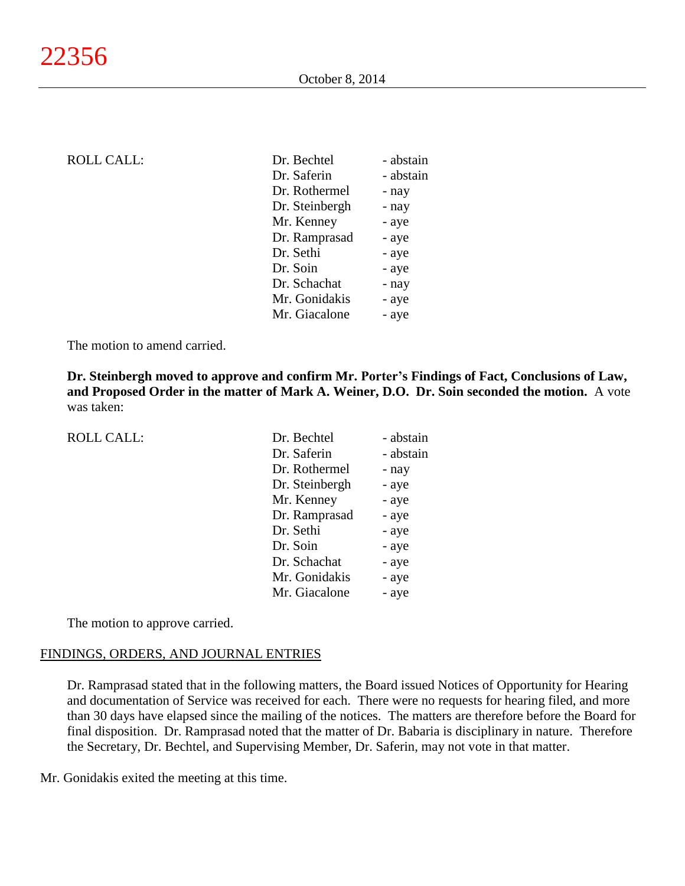| <b>ROLL CALL:</b> | Dr. Bechtel    | - abstain |
|-------------------|----------------|-----------|
|                   | Dr. Saferin    | - abstain |
|                   | Dr. Rothermel  | - nay     |
|                   | Dr. Steinbergh | - nay     |
|                   | Mr. Kenney     | - aye     |
|                   | Dr. Ramprasad  | - aye     |
|                   | Dr. Sethi      | - aye     |
|                   | Dr. Soin       | - aye     |
|                   | Dr. Schachat   | - nay     |
|                   | Mr. Gonidakis  | - aye     |
|                   | Mr. Giacalone  | - aye     |
|                   |                |           |

The motion to amend carried.

**Dr. Steinbergh moved to approve and confirm Mr. Porter's Findings of Fact, Conclusions of Law, and Proposed Order in the matter of Mark A. Weiner, D.O. Dr. Soin seconded the motion.** A vote was taken:

| <b>ROLL CALL:</b> |  |
|-------------------|--|
|-------------------|--|

| <b>ROLL CALL:</b> | Dr. Bechtel    | - abstain |
|-------------------|----------------|-----------|
|                   | Dr. Saferin    | - abstain |
|                   | Dr. Rothermel  | - nay     |
|                   | Dr. Steinbergh | - aye     |
|                   | Mr. Kenney     | - aye     |
|                   | Dr. Ramprasad  | - aye     |
|                   | Dr. Sethi      | - aye     |
|                   | Dr. Soin       | - aye     |
|                   | Dr. Schachat   | - aye     |
|                   | Mr. Gonidakis  | - aye     |
|                   | Mr. Giacalone  | - aye     |

The motion to approve carried.

#### FINDINGS, ORDERS, AND JOURNAL ENTRIES

Dr. Ramprasad stated that in the following matters, the Board issued Notices of Opportunity for Hearing and documentation of Service was received for each. There were no requests for hearing filed, and more than 30 days have elapsed since the mailing of the notices. The matters are therefore before the Board for final disposition. Dr. Ramprasad noted that the matter of Dr. Babaria is disciplinary in nature. Therefore the Secretary, Dr. Bechtel, and Supervising Member, Dr. Saferin, may not vote in that matter.

Mr. Gonidakis exited the meeting at this time.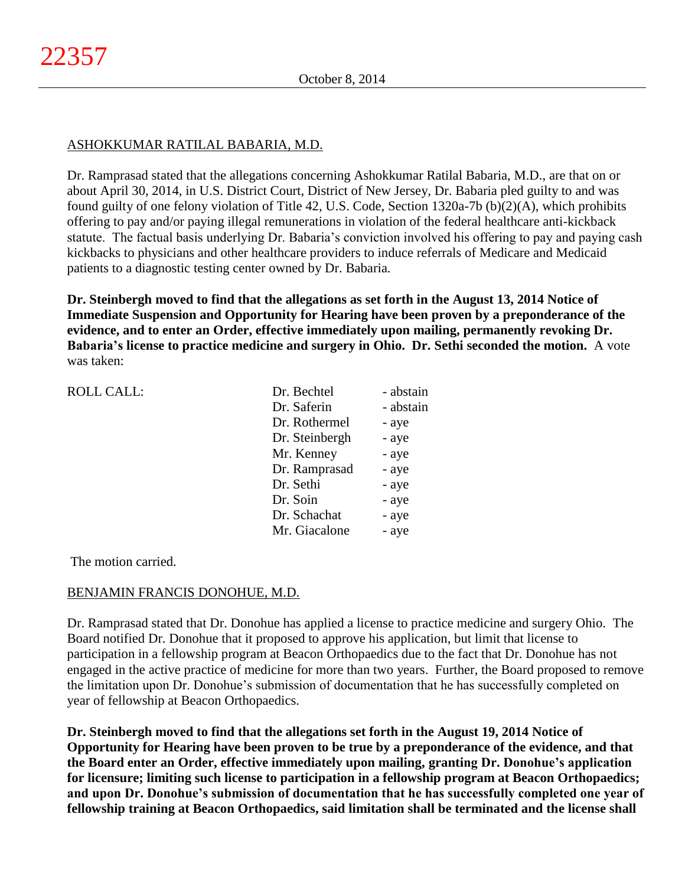# ASHOKKUMAR RATILAL BABARIA, M.D.

Dr. Ramprasad stated that the allegations concerning Ashokkumar Ratilal Babaria, M.D., are that on or about April 30, 2014, in U.S. District Court, District of New Jersey, Dr. Babaria pled guilty to and was found guilty of one felony violation of Title 42, U.S. Code, Section 1320a-7b (b)(2)(A), which prohibits offering to pay and/or paying illegal remunerations in violation of the federal healthcare anti-kickback statute. The factual basis underlying Dr. Babaria's conviction involved his offering to pay and paying cash kickbacks to physicians and other healthcare providers to induce referrals of Medicare and Medicaid patients to a diagnostic testing center owned by Dr. Babaria.

**Dr. Steinbergh moved to find that the allegations as set forth in the August 13, 2014 Notice of Immediate Suspension and Opportunity for Hearing have been proven by a preponderance of the evidence, and to enter an Order, effective immediately upon mailing, permanently revoking Dr. Babaria's license to practice medicine and surgery in Ohio. Dr. Sethi seconded the motion.** A vote was taken:

| <b>ROLL CALL:</b> | Dr. Bechtel    | - abstain |
|-------------------|----------------|-----------|
|                   | Dr. Saferin    | - abstain |
|                   | Dr. Rothermel  | - aye     |
|                   | Dr. Steinbergh | - aye     |
|                   | Mr. Kenney     | - aye     |
|                   | Dr. Ramprasad  | - aye     |
|                   | Dr. Sethi      | - aye     |
|                   | Dr. Soin       | - aye     |
|                   | Dr. Schachat   | - aye     |
|                   | Mr. Giacalone  | - aye     |
|                   |                |           |

The motion carried.

## BENJAMIN FRANCIS DONOHUE, M.D.

Dr. Ramprasad stated that Dr. Donohue has applied a license to practice medicine and surgery Ohio. The Board notified Dr. Donohue that it proposed to approve his application, but limit that license to participation in a fellowship program at Beacon Orthopaedics due to the fact that Dr. Donohue has not engaged in the active practice of medicine for more than two years. Further, the Board proposed to remove the limitation upon Dr. Donohue's submission of documentation that he has successfully completed on year of fellowship at Beacon Orthopaedics.

**Dr. Steinbergh moved to find that the allegations set forth in the August 19, 2014 Notice of Opportunity for Hearing have been proven to be true by a preponderance of the evidence, and that the Board enter an Order, effective immediately upon mailing, granting Dr. Donohue's application for licensure; limiting such license to participation in a fellowship program at Beacon Orthopaedics; and upon Dr. Donohue's submission of documentation that he has successfully completed one year of fellowship training at Beacon Orthopaedics, said limitation shall be terminated and the license shall**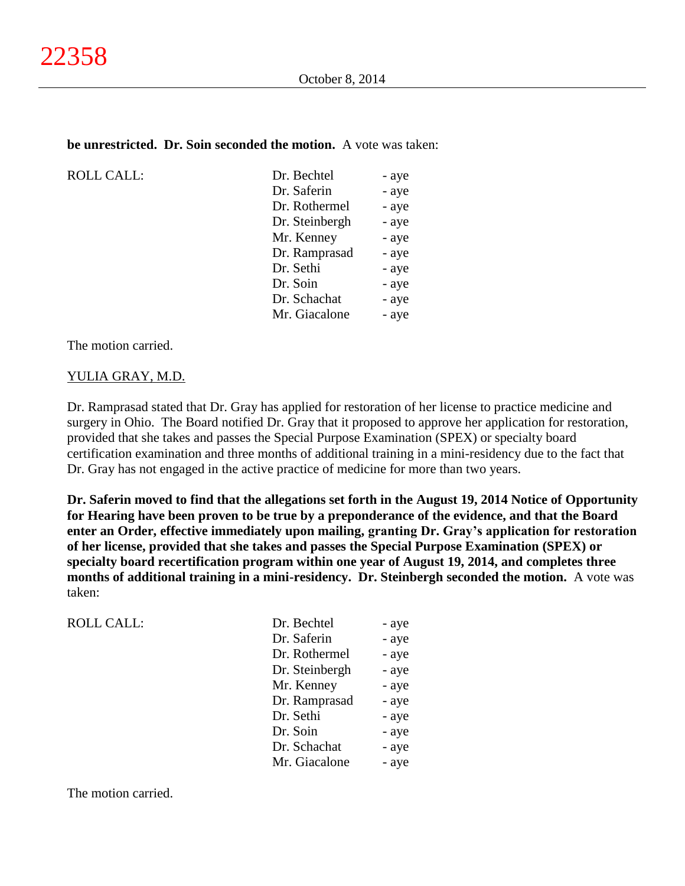#### **be unrestricted. Dr. Soin seconded the motion.** A vote was taken:

| <b>ROLL CALL:</b> |
|-------------------|
|                   |

| <b>ROLL CALL:</b> | Dr. Bechtel    | - aye |
|-------------------|----------------|-------|
|                   | Dr. Saferin    | - aye |
|                   | Dr. Rothermel  | - aye |
|                   | Dr. Steinbergh | - aye |
|                   | Mr. Kenney     | - aye |
|                   | Dr. Ramprasad  | - aye |
|                   | Dr. Sethi      | - aye |
|                   | Dr. Soin       | - aye |
|                   | Dr. Schachat   | - aye |
|                   | Mr. Giacalone  | - aye |
|                   |                |       |

The motion carried.

#### YULIA GRAY, M.D.

Dr. Ramprasad stated that Dr. Gray has applied for restoration of her license to practice medicine and surgery in Ohio. The Board notified Dr. Gray that it proposed to approve her application for restoration, provided that she takes and passes the Special Purpose Examination (SPEX) or specialty board certification examination and three months of additional training in a mini-residency due to the fact that Dr. Gray has not engaged in the active practice of medicine for more than two years.

**Dr. Saferin moved to find that the allegations set forth in the August 19, 2014 Notice of Opportunity for Hearing have been proven to be true by a preponderance of the evidence, and that the Board enter an Order, effective immediately upon mailing, granting Dr. Gray's application for restoration of her license, provided that she takes and passes the Special Purpose Examination (SPEX) or specialty board recertification program within one year of August 19, 2014, and completes three months of additional training in a mini-residency. Dr. Steinbergh seconded the motion.** A vote was taken:

| <b>ROLL CALL:</b> | Dr. Bechtel    | - aye |
|-------------------|----------------|-------|
|                   | Dr. Saferin    | - aye |
|                   | Dr. Rothermel  | - aye |
|                   | Dr. Steinbergh | - aye |
|                   | Mr. Kenney     | - aye |
|                   | Dr. Ramprasad  | - aye |
|                   | Dr. Sethi      | - aye |
|                   | Dr. Soin       | - aye |
|                   | Dr. Schachat   | - aye |
|                   | Mr. Giacalone  | - aye |
|                   |                |       |

The motion carried.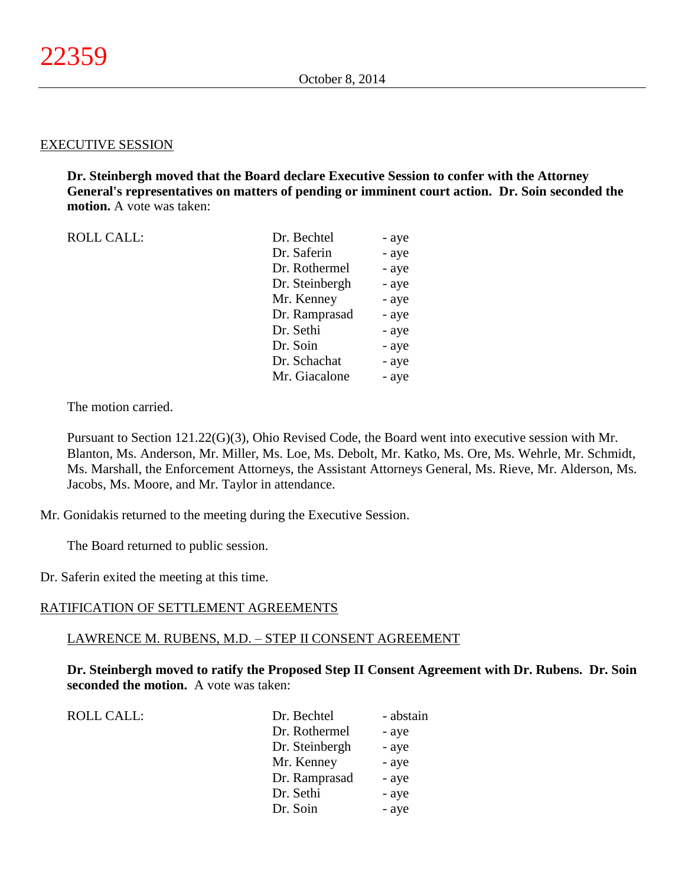#### EXECUTIVE SESSION

**Dr. Steinbergh moved that the Board declare Executive Session to confer with the Attorney General's representatives on matters of pending or imminent court action. Dr. Soin seconded the motion.** A vote was taken:

| <b>ROLL CALL:</b> | Dr. Bechtel    | - aye |
|-------------------|----------------|-------|
|                   | Dr. Saferin    | - aye |
|                   | Dr. Rothermel  | - aye |
|                   | Dr. Steinbergh | - aye |
|                   | Mr. Kenney     | - aye |
|                   | Dr. Ramprasad  | - aye |
|                   | Dr. Sethi      | - aye |
|                   | Dr. Soin       | - aye |
|                   | Dr. Schachat   | - aye |
|                   | Mr. Giacalone  | - aye |
|                   |                |       |

The motion carried.

Pursuant to Section 121.22(G)(3), Ohio Revised Code, the Board went into executive session with Mr. Blanton, Ms. Anderson, Mr. Miller, Ms. Loe, Ms. Debolt, Mr. Katko, Ms. Ore, Ms. Wehrle, Mr. Schmidt, Ms. Marshall, the Enforcement Attorneys, the Assistant Attorneys General, Ms. Rieve, Mr. Alderson, Ms. Jacobs, Ms. Moore, and Mr. Taylor in attendance.

Mr. Gonidakis returned to the meeting during the Executive Session.

The Board returned to public session.

Dr. Saferin exited the meeting at this time.

#### RATIFICATION OF SETTLEMENT AGREEMENTS

#### LAWRENCE M. RUBENS, M.D. – STEP II CONSENT AGREEMENT

**Dr. Steinbergh moved to ratify the Proposed Step II Consent Agreement with Dr. Rubens. Dr. Soin seconded the motion.** A vote was taken:

| <b>ROLL CALL:</b> | Dr. Bechtel    | - abstain |
|-------------------|----------------|-----------|
|                   | Dr. Rothermel  | - aye     |
|                   | Dr. Steinbergh | - aye     |
|                   | Mr. Kenney     | - aye     |
|                   | Dr. Ramprasad  | - aye     |
|                   | Dr. Sethi      | - aye     |
|                   | Dr. Soin       | - aye     |
|                   |                |           |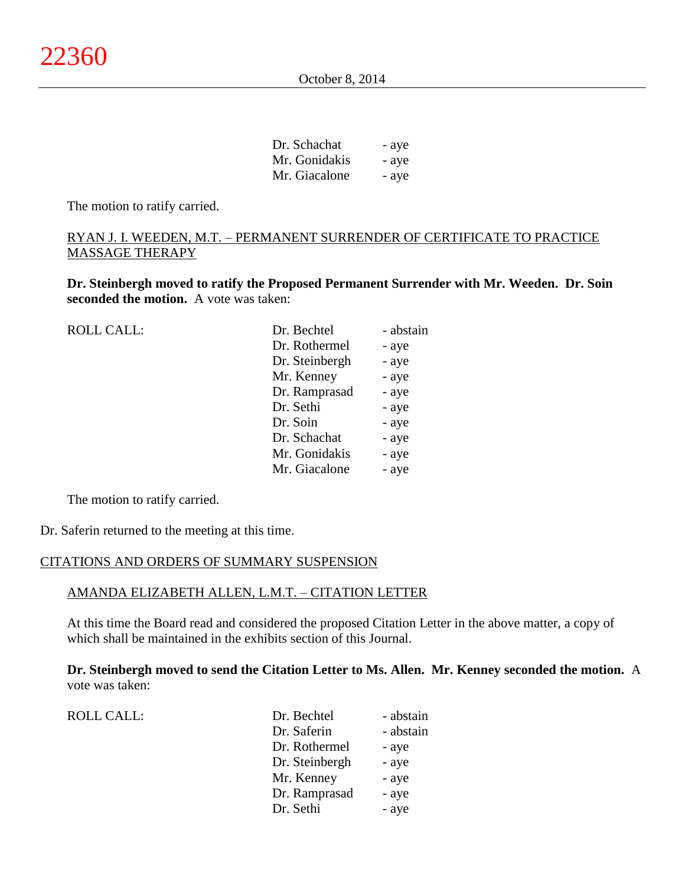| Dr. Schachat  | - aye |
|---------------|-------|
| Mr. Gonidakis | - aye |
| Mr. Giacalone | - aye |

 $D \cap S$ 

The motion to ratify carried.

## RYAN J. I. WEEDEN, M.T. – PERMANENT SURRENDER OF CERTIFICATE TO PRACTICE MASSAGE THERAPY

**Dr. Steinbergh moved to ratify the Proposed Permanent Surrender with Mr. Weeden. Dr. Soin seconded the motion.** A vote was taken:

| <b>ROLL CALL:</b> | Dr. Bechtel    | - abstain |
|-------------------|----------------|-----------|
|                   | Dr. Rothermel  | - aye     |
|                   | Dr. Steinbergh | - aye     |
|                   | Mr. Kenney     | - aye     |
|                   | Dr. Ramprasad  | - aye     |
|                   | Dr. Sethi      | - aye     |
|                   | Dr. Soin       | - aye     |
|                   | Dr. Schachat   | - aye     |
|                   | Mr. Gonidakis  | - aye     |
|                   | Mr. Giacalone  | - aye     |
|                   |                |           |

The motion to ratify carried.

Dr. Saferin returned to the meeting at this time.

#### CITATIONS AND ORDERS OF SUMMARY SUSPENSION

#### AMANDA ELIZABETH ALLEN, L.M.T. – CITATION LETTER

At this time the Board read and considered the proposed Citation Letter in the above matter, a copy of which shall be maintained in the exhibits section of this Journal.

**Dr. Steinbergh moved to send the Citation Letter to Ms. Allen. Mr. Kenney seconded the motion.** A vote was taken:

| <b>ROLL CALL:</b> | Dr. Bechtel    | - abstain |
|-------------------|----------------|-----------|
|                   | Dr. Saferin    | - abstain |
|                   | Dr. Rothermel  | - aye     |
|                   | Dr. Steinbergh | - aye     |
|                   | Mr. Kenney     | - aye     |
|                   | Dr. Ramprasad  | - aye     |
|                   | Dr. Sethi      | - aye     |
|                   |                |           |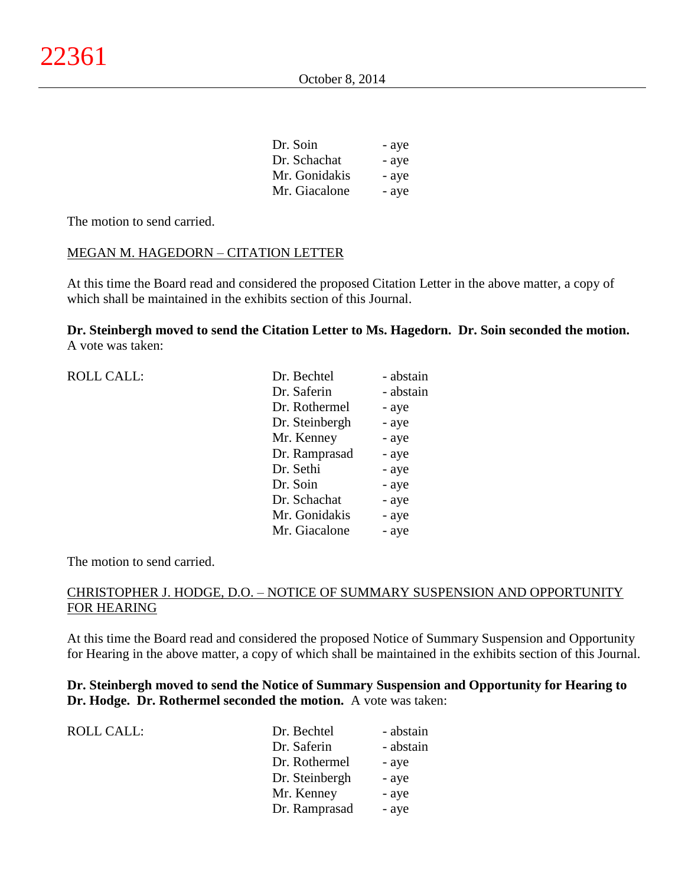| Dr. Soin      | - aye |
|---------------|-------|
| Dr. Schachat  | - aye |
| Mr. Gonidakis | - aye |
| Mr. Giacalone | - aye |

The motion to send carried.

## MEGAN M. HAGEDORN – CITATION LETTER

At this time the Board read and considered the proposed Citation Letter in the above matter, a copy of which shall be maintained in the exhibits section of this Journal.

**Dr. Steinbergh moved to send the Citation Letter to Ms. Hagedorn. Dr. Soin seconded the motion.** A vote was taken:

| <b>ROLL CALL:</b> | Dr. Bechtel    | - abstain |
|-------------------|----------------|-----------|
|                   | Dr. Saferin    | - abstain |
|                   | Dr. Rothermel  | - aye     |
|                   | Dr. Steinbergh | - aye     |
|                   | Mr. Kenney     | - aye     |
|                   | Dr. Ramprasad  | - aye     |
|                   | Dr. Sethi      | - aye     |
|                   | Dr. Soin       | - aye     |
|                   | Dr. Schachat   | - aye     |
|                   | Mr. Gonidakis  | - aye     |
|                   | Mr. Giacalone  | - aye     |

The motion to send carried.

## CHRISTOPHER J. HODGE, D.O. – NOTICE OF SUMMARY SUSPENSION AND OPPORTUNITY FOR HEARING

At this time the Board read and considered the proposed Notice of Summary Suspension and Opportunity for Hearing in the above matter, a copy of which shall be maintained in the exhibits section of this Journal.

**Dr. Steinbergh moved to send the Notice of Summary Suspension and Opportunity for Hearing to Dr. Hodge. Dr. Rothermel seconded the motion.** A vote was taken:

| <b>ROLL CALL:</b> | Dr. Bechtel    | - abstain |
|-------------------|----------------|-----------|
|                   | Dr. Saferin    | - abstain |
|                   | Dr. Rothermel  | - aye     |
|                   | Dr. Steinbergh | - aye     |
|                   | Mr. Kenney     | - aye     |
|                   | Dr. Ramprasad  | - aye     |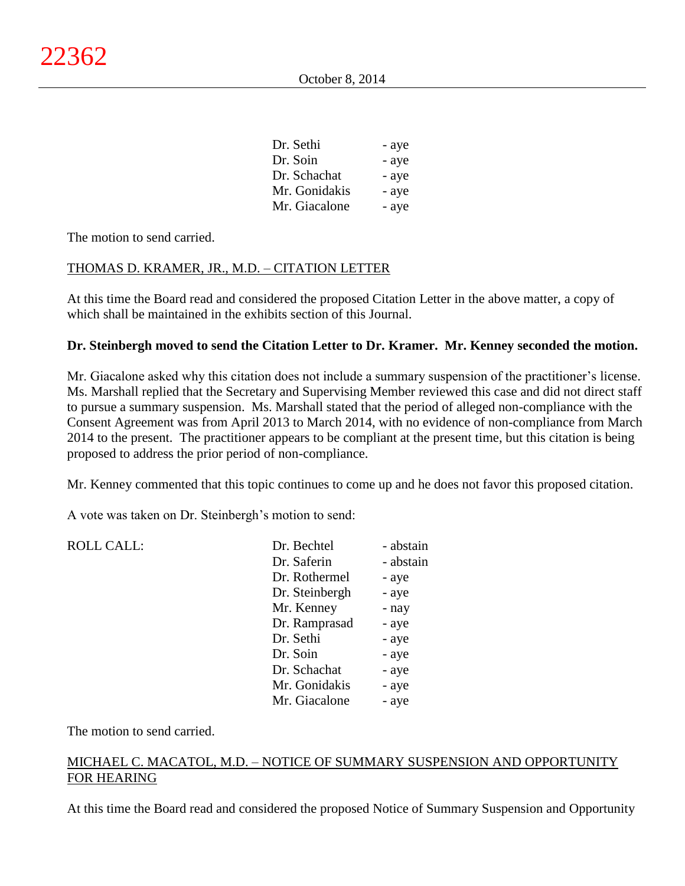| Dr. Sethi     | - aye |
|---------------|-------|
| Dr. Soin      | - aye |
| Dr. Schachat  | - aye |
| Mr. Gonidakis | - aye |
| Mr. Giacalone | - aye |

The motion to send carried.

## THOMAS D. KRAMER, JR., M.D. – CITATION LETTER

At this time the Board read and considered the proposed Citation Letter in the above matter, a copy of which shall be maintained in the exhibits section of this Journal.

## **Dr. Steinbergh moved to send the Citation Letter to Dr. Kramer. Mr. Kenney seconded the motion.**

Mr. Giacalone asked why this citation does not include a summary suspension of the practitioner's license. Ms. Marshall replied that the Secretary and Supervising Member reviewed this case and did not direct staff to pursue a summary suspension. Ms. Marshall stated that the period of alleged non-compliance with the Consent Agreement was from April 2013 to March 2014, with no evidence of non-compliance from March 2014 to the present. The practitioner appears to be compliant at the present time, but this citation is being proposed to address the prior period of non-compliance.

Mr. Kenney commented that this topic continues to come up and he does not favor this proposed citation.

A vote was taken on Dr. Steinbergh's motion to send:

| <b>ROLL CALL:</b> | Dr. Bechtel    | - abstain |
|-------------------|----------------|-----------|
|                   | Dr. Saferin    | - abstain |
|                   | Dr. Rothermel  | - aye     |
|                   | Dr. Steinbergh | - aye     |
|                   | Mr. Kenney     | - nay     |
|                   | Dr. Ramprasad  | - aye     |
|                   | Dr. Sethi      | - aye     |
|                   | Dr. Soin       | - aye     |
|                   | Dr. Schachat   | - aye     |
|                   | Mr. Gonidakis  | - aye     |
|                   | Mr. Giacalone  | - aye     |
|                   |                |           |

The motion to send carried.

## MICHAEL C. MACATOL, M.D. – NOTICE OF SUMMARY SUSPENSION AND OPPORTUNITY FOR HEARING

At this time the Board read and considered the proposed Notice of Summary Suspension and Opportunity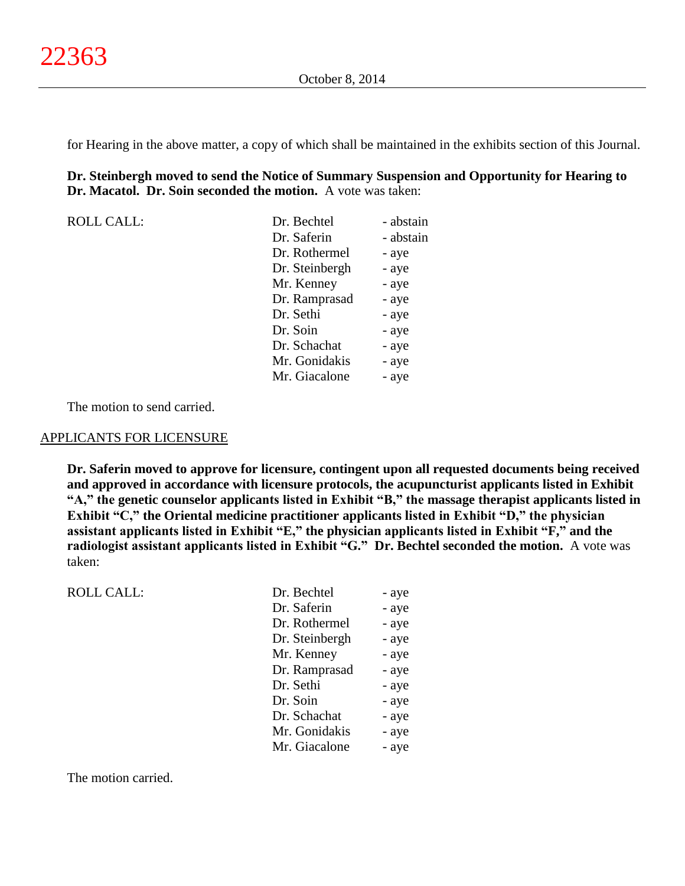for Hearing in the above matter, a copy of which shall be maintained in the exhibits section of this Journal.

**Dr. Steinbergh moved to send the Notice of Summary Suspension and Opportunity for Hearing to Dr. Macatol. Dr. Soin seconded the motion.** A vote was taken:

| <b>ROLL CALL:</b> | Dr. Bechtel    | - abstain |
|-------------------|----------------|-----------|
|                   | Dr. Saferin    | - abstain |
|                   | Dr. Rothermel  | - aye     |
|                   | Dr. Steinbergh | - aye     |
|                   | Mr. Kenney     | - aye     |
|                   | Dr. Ramprasad  | - aye     |
|                   | Dr. Sethi      | - aye     |
|                   | Dr. Soin       | - aye     |
|                   | Dr. Schachat   | - aye     |
|                   | Mr. Gonidakis  | - aye     |
|                   | Mr. Giacalone  | - aye     |

The motion to send carried.

#### APPLICANTS FOR LICENSURE

**Dr. Saferin moved to approve for licensure, contingent upon all requested documents being received and approved in accordance with licensure protocols, the acupuncturist applicants listed in Exhibit "A," the genetic counselor applicants listed in Exhibit "B," the massage therapist applicants listed in Exhibit "C," the Oriental medicine practitioner applicants listed in Exhibit "D," the physician assistant applicants listed in Exhibit "E," the physician applicants listed in Exhibit "F," and the radiologist assistant applicants listed in Exhibit "G." Dr. Bechtel seconded the motion.** A vote was taken:

ROLL CALL:

| Dr. Bechtel    | - aye |
|----------------|-------|
| Dr. Saferin    | - aye |
| Dr. Rothermel  | - aye |
| Dr. Steinbergh | - aye |
| Mr. Kenney     | - aye |
| Dr. Ramprasad  | - aye |
| Dr. Sethi      | - aye |
| Dr. Soin       | - aye |
| Dr. Schachat   | - aye |
| Mr. Gonidakis  | - aye |
| Mr. Giacalone  | - aye |

The motion carried.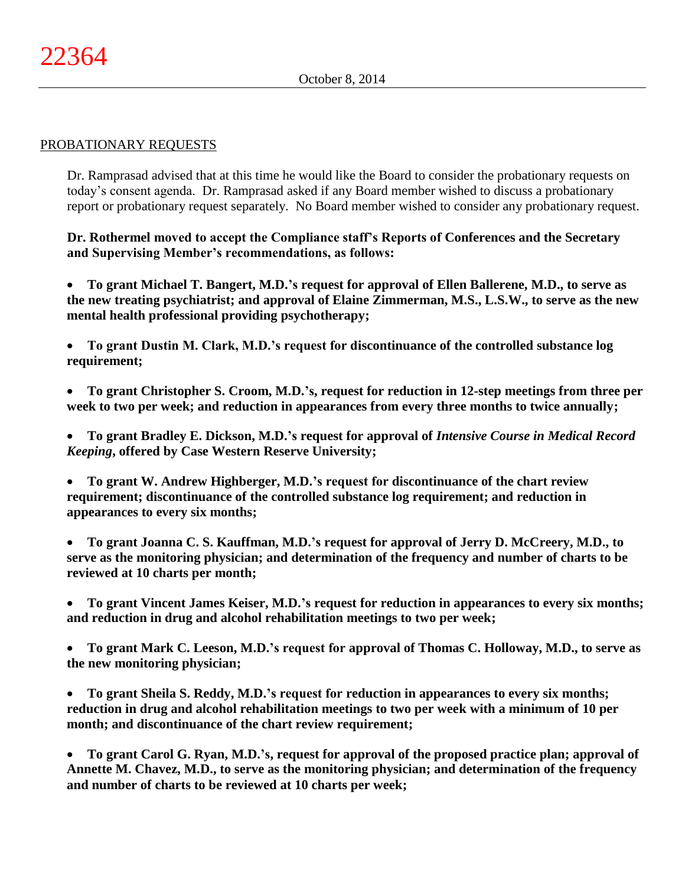### PROBATIONARY REQUESTS

Dr. Ramprasad advised that at this time he would like the Board to consider the probationary requests on today's consent agenda. Dr. Ramprasad asked if any Board member wished to discuss a probationary report or probationary request separately. No Board member wished to consider any probationary request.

**Dr. Rothermel moved to accept the Compliance staff's Reports of Conferences and the Secretary and Supervising Member's recommendations, as follows:**

 **To grant Michael T. Bangert, M.D.'s request for approval of Ellen Ballerene, M.D., to serve as the new treating psychiatrist; and approval of Elaine Zimmerman, M.S., L.S.W., to serve as the new mental health professional providing psychotherapy;**

 **To grant Dustin M. Clark, M.D.'s request for discontinuance of the controlled substance log requirement;**

 **To grant Christopher S. Croom, M.D.'s, request for reduction in 12-step meetings from three per week to two per week; and reduction in appearances from every three months to twice annually;**

 **To grant Bradley E. Dickson, M.D.'s request for approval of** *Intensive Course in Medical Record Keeping***, offered by Case Western Reserve University;**

 **To grant W. Andrew Highberger, M.D.'s request for discontinuance of the chart review requirement; discontinuance of the controlled substance log requirement; and reduction in appearances to every six months;**

 **To grant Joanna C. S. Kauffman, M.D.'s request for approval of Jerry D. McCreery, M.D., to serve as the monitoring physician; and determination of the frequency and number of charts to be reviewed at 10 charts per month;**

 **To grant Vincent James Keiser, M.D.'s request for reduction in appearances to every six months; and reduction in drug and alcohol rehabilitation meetings to two per week;**

 **To grant Mark C. Leeson, M.D.'s request for approval of Thomas C. Holloway, M.D., to serve as the new monitoring physician;**

 **To grant Sheila S. Reddy, M.D.'s request for reduction in appearances to every six months; reduction in drug and alcohol rehabilitation meetings to two per week with a minimum of 10 per month; and discontinuance of the chart review requirement;**

 **To grant Carol G. Ryan, M.D.'s, request for approval of the proposed practice plan; approval of Annette M. Chavez, M.D., to serve as the monitoring physician; and determination of the frequency and number of charts to be reviewed at 10 charts per week;**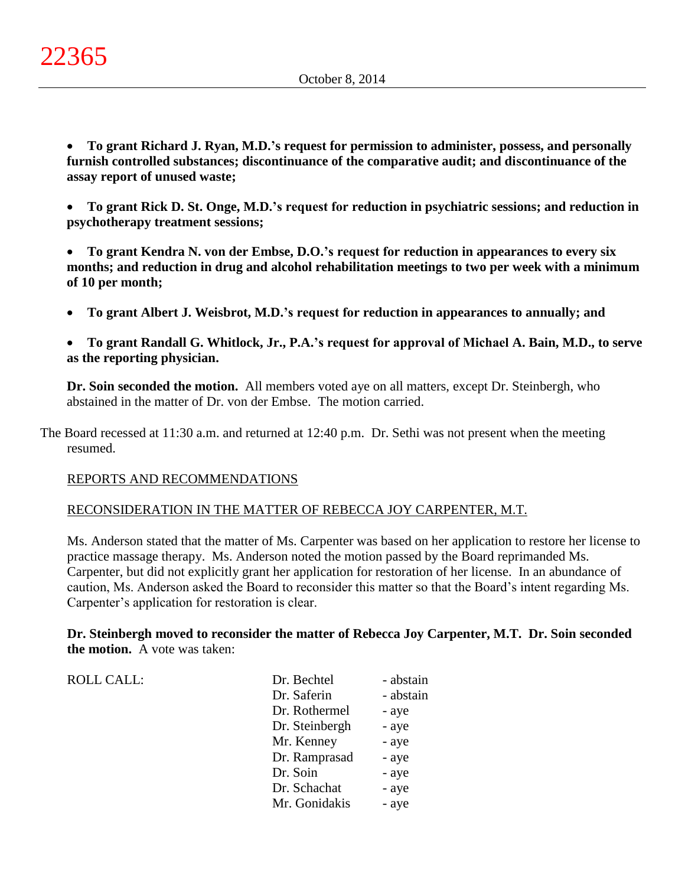**To grant Richard J. Ryan, M.D.'s request for permission to administer, possess, and personally furnish controlled substances; discontinuance of the comparative audit; and discontinuance of the assay report of unused waste;**

 **To grant Rick D. St. Onge, M.D.'s request for reduction in psychiatric sessions; and reduction in psychotherapy treatment sessions;**

 **To grant Kendra N. von der Embse, D.O.'s request for reduction in appearances to every six months; and reduction in drug and alcohol rehabilitation meetings to two per week with a minimum of 10 per month;**

**To grant Albert J. Weisbrot, M.D.'s request for reduction in appearances to annually; and**

 **To grant Randall G. Whitlock, Jr., P.A.'s request for approval of Michael A. Bain, M.D., to serve as the reporting physician.**

**Dr. Soin seconded the motion.** All members voted aye on all matters, except Dr. Steinbergh, who abstained in the matter of Dr. von der Embse. The motion carried.

The Board recessed at 11:30 a.m. and returned at 12:40 p.m. Dr. Sethi was not present when the meeting resumed.

## REPORTS AND RECOMMENDATIONS

## RECONSIDERATION IN THE MATTER OF REBECCA JOY CARPENTER, M.T.

Ms. Anderson stated that the matter of Ms. Carpenter was based on her application to restore her license to practice massage therapy. Ms. Anderson noted the motion passed by the Board reprimanded Ms. Carpenter, but did not explicitly grant her application for restoration of her license. In an abundance of caution, Ms. Anderson asked the Board to reconsider this matter so that the Board's intent regarding Ms. Carpenter's application for restoration is clear.

**Dr. Steinbergh moved to reconsider the matter of Rebecca Joy Carpenter, M.T. Dr. Soin seconded the motion.** A vote was taken:

| <b>ROLL CALL:</b> | Dr. Bechtel    | - abstain |
|-------------------|----------------|-----------|
|                   | Dr. Saferin    | - abstain |
|                   | Dr. Rothermel  | - aye     |
|                   | Dr. Steinbergh | - aye     |
|                   | Mr. Kenney     | - aye     |
|                   | Dr. Ramprasad  | - aye     |
|                   | Dr. Soin       | - aye     |
|                   | Dr. Schachat   | - aye     |
|                   | Mr. Gonidakis  | - aye     |
|                   |                |           |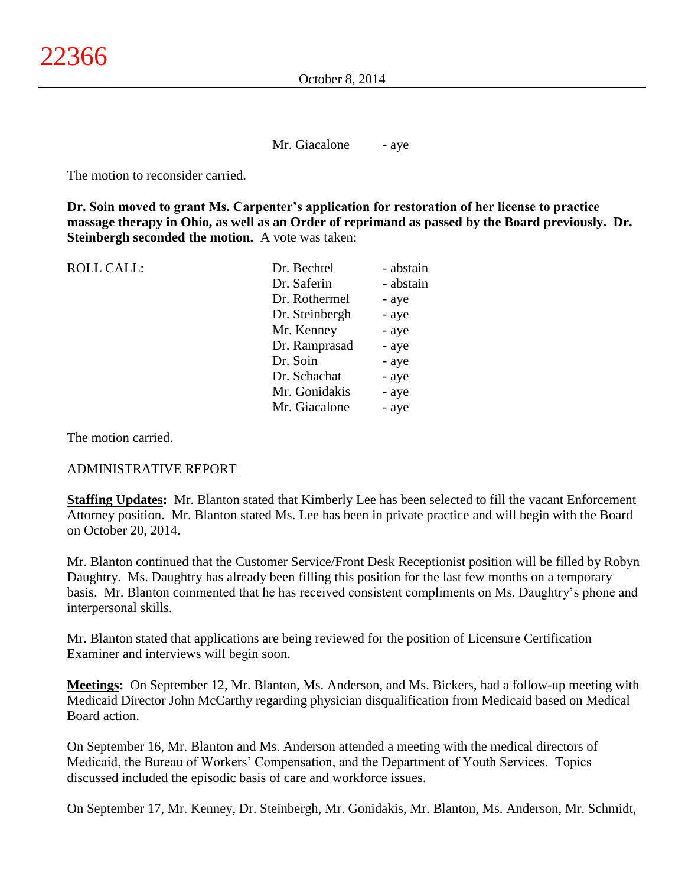Mr. Giacalone - aye

The motion to reconsider carried.

**Dr. Soin moved to grant Ms. Carpenter's application for restoration of her license to practice massage therapy in Ohio, as well as an Order of reprimand as passed by the Board previously. Dr. Steinbergh seconded the motion.** A vote was taken:

| <b>ROLL CALL:</b> | Dr. Bechtel    | - abstain |
|-------------------|----------------|-----------|
|                   | Dr. Saferin    | - abstain |
|                   | Dr. Rothermel  | - aye     |
|                   | Dr. Steinbergh | - aye     |
|                   | Mr. Kenney     | - aye     |
|                   | Dr. Ramprasad  | - aye     |
|                   | Dr. Soin       | - aye     |
|                   | Dr. Schachat   | - aye     |
|                   | Mr. Gonidakis  | - aye     |
|                   | Mr. Giacalone  | - aye     |
|                   |                |           |

The motion carried.

#### ADMINISTRATIVE REPORT

**Staffing Updates:** Mr. Blanton stated that Kimberly Lee has been selected to fill the vacant Enforcement Attorney position. Mr. Blanton stated Ms. Lee has been in private practice and will begin with the Board on October 20, 2014.

Mr. Blanton continued that the Customer Service/Front Desk Receptionist position will be filled by Robyn Daughtry. Ms. Daughtry has already been filling this position for the last few months on a temporary basis. Mr. Blanton commented that he has received consistent compliments on Ms. Daughtry's phone and interpersonal skills.

Mr. Blanton stated that applications are being reviewed for the position of Licensure Certification Examiner and interviews will begin soon.

**Meetings:** On September 12, Mr. Blanton, Ms. Anderson, and Ms. Bickers, had a follow-up meeting with Medicaid Director John McCarthy regarding physician disqualification from Medicaid based on Medical Board action.

On September 16, Mr. Blanton and Ms. Anderson attended a meeting with the medical directors of Medicaid, the Bureau of Workers' Compensation, and the Department of Youth Services. Topics discussed included the episodic basis of care and workforce issues.

On September 17, Mr. Kenney, Dr. Steinbergh, Mr. Gonidakis, Mr. Blanton, Ms. Anderson, Mr. Schmidt,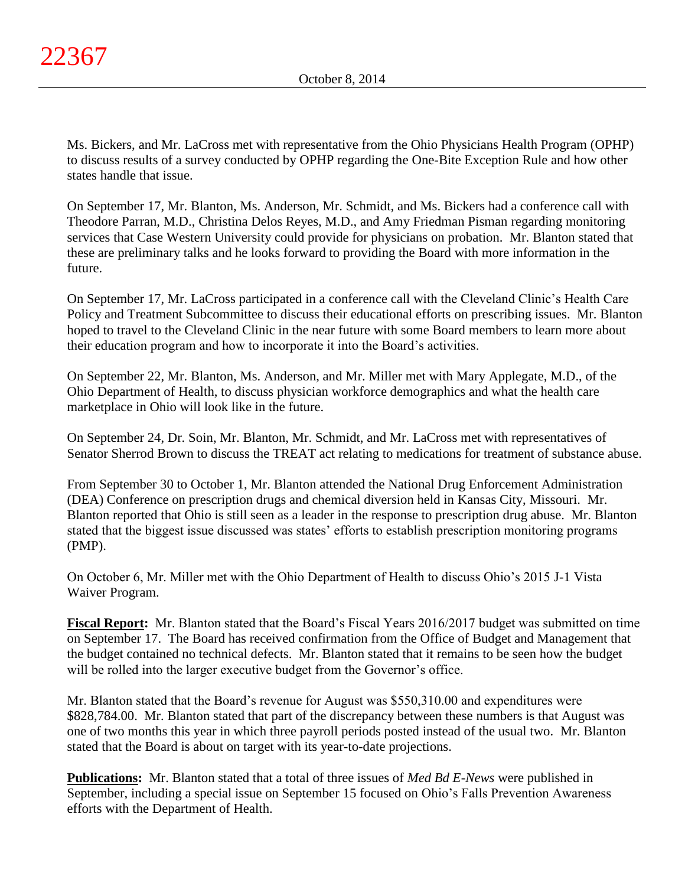Ms. Bickers, and Mr. LaCross met with representative from the Ohio Physicians Health Program (OPHP) to discuss results of a survey conducted by OPHP regarding the One-Bite Exception Rule and how other states handle that issue.

On September 17, Mr. Blanton, Ms. Anderson, Mr. Schmidt, and Ms. Bickers had a conference call with Theodore Parran, M.D., Christina Delos Reyes, M.D., and Amy Friedman Pisman regarding monitoring services that Case Western University could provide for physicians on probation. Mr. Blanton stated that these are preliminary talks and he looks forward to providing the Board with more information in the future.

On September 17, Mr. LaCross participated in a conference call with the Cleveland Clinic's Health Care Policy and Treatment Subcommittee to discuss their educational efforts on prescribing issues. Mr. Blanton hoped to travel to the Cleveland Clinic in the near future with some Board members to learn more about their education program and how to incorporate it into the Board's activities.

On September 22, Mr. Blanton, Ms. Anderson, and Mr. Miller met with Mary Applegate, M.D., of the Ohio Department of Health, to discuss physician workforce demographics and what the health care marketplace in Ohio will look like in the future.

On September 24, Dr. Soin, Mr. Blanton, Mr. Schmidt, and Mr. LaCross met with representatives of Senator Sherrod Brown to discuss the TREAT act relating to medications for treatment of substance abuse.

From September 30 to October 1, Mr. Blanton attended the National Drug Enforcement Administration (DEA) Conference on prescription drugs and chemical diversion held in Kansas City, Missouri. Mr. Blanton reported that Ohio is still seen as a leader in the response to prescription drug abuse. Mr. Blanton stated that the biggest issue discussed was states' efforts to establish prescription monitoring programs (PMP).

On October 6, Mr. Miller met with the Ohio Department of Health to discuss Ohio's 2015 J-1 Vista Waiver Program.

**Fiscal Report:** Mr. Blanton stated that the Board's Fiscal Years 2016/2017 budget was submitted on time on September 17. The Board has received confirmation from the Office of Budget and Management that the budget contained no technical defects. Mr. Blanton stated that it remains to be seen how the budget will be rolled into the larger executive budget from the Governor's office.

Mr. Blanton stated that the Board's revenue for August was \$550,310.00 and expenditures were \$828,784.00. Mr. Blanton stated that part of the discrepancy between these numbers is that August was one of two months this year in which three payroll periods posted instead of the usual two. Mr. Blanton stated that the Board is about on target with its year-to-date projections.

**Publications:** Mr. Blanton stated that a total of three issues of *Med Bd E-News* were published in September, including a special issue on September 15 focused on Ohio's Falls Prevention Awareness efforts with the Department of Health.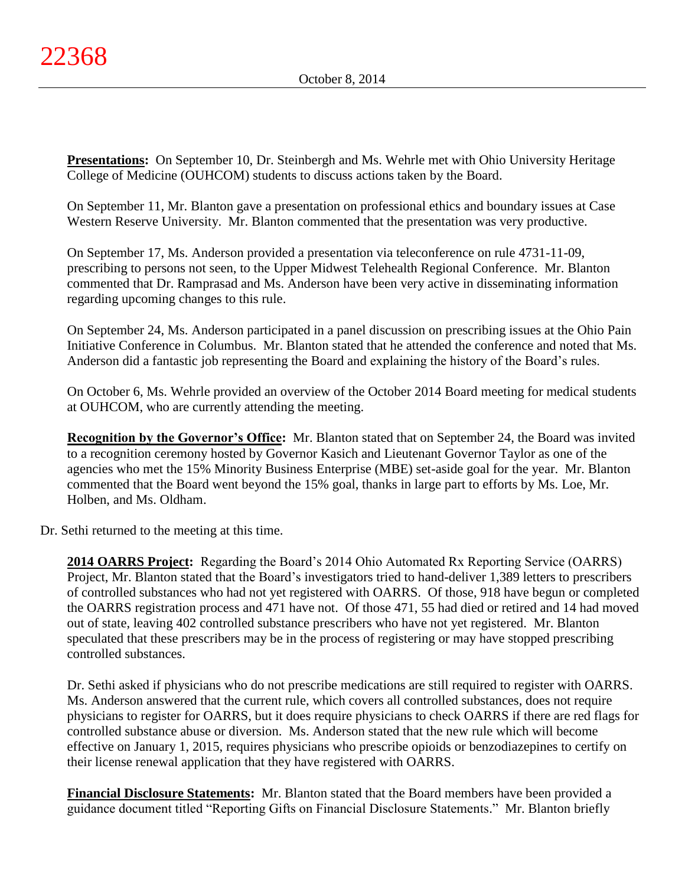**Presentations:** On September 10, Dr. Steinbergh and Ms. Wehrle met with Ohio University Heritage College of Medicine (OUHCOM) students to discuss actions taken by the Board.

On September 11, Mr. Blanton gave a presentation on professional ethics and boundary issues at Case Western Reserve University. Mr. Blanton commented that the presentation was very productive.

On September 17, Ms. Anderson provided a presentation via teleconference on rule 4731-11-09, prescribing to persons not seen, to the Upper Midwest Telehealth Regional Conference. Mr. Blanton commented that Dr. Ramprasad and Ms. Anderson have been very active in disseminating information regarding upcoming changes to this rule.

On September 24, Ms. Anderson participated in a panel discussion on prescribing issues at the Ohio Pain Initiative Conference in Columbus. Mr. Blanton stated that he attended the conference and noted that Ms. Anderson did a fantastic job representing the Board and explaining the history of the Board's rules.

On October 6, Ms. Wehrle provided an overview of the October 2014 Board meeting for medical students at OUHCOM, who are currently attending the meeting.

**Recognition by the Governor's Office:** Mr. Blanton stated that on September 24, the Board was invited to a recognition ceremony hosted by Governor Kasich and Lieutenant Governor Taylor as one of the agencies who met the 15% Minority Business Enterprise (MBE) set-aside goal for the year. Mr. Blanton commented that the Board went beyond the 15% goal, thanks in large part to efforts by Ms. Loe, Mr. Holben, and Ms. Oldham.

Dr. Sethi returned to the meeting at this time.

**2014 OARRS Project:** Regarding the Board's 2014 Ohio Automated Rx Reporting Service (OARRS) Project, Mr. Blanton stated that the Board's investigators tried to hand-deliver 1,389 letters to prescribers of controlled substances who had not yet registered with OARRS. Of those, 918 have begun or completed the OARRS registration process and 471 have not. Of those 471, 55 had died or retired and 14 had moved out of state, leaving 402 controlled substance prescribers who have not yet registered. Mr. Blanton speculated that these prescribers may be in the process of registering or may have stopped prescribing controlled substances.

Dr. Sethi asked if physicians who do not prescribe medications are still required to register with OARRS. Ms. Anderson answered that the current rule, which covers all controlled substances, does not require physicians to register for OARRS, but it does require physicians to check OARRS if there are red flags for controlled substance abuse or diversion. Ms. Anderson stated that the new rule which will become effective on January 1, 2015, requires physicians who prescribe opioids or benzodiazepines to certify on their license renewal application that they have registered with OARRS.

**Financial Disclosure Statements:** Mr. Blanton stated that the Board members have been provided a guidance document titled "Reporting Gifts on Financial Disclosure Statements." Mr. Blanton briefly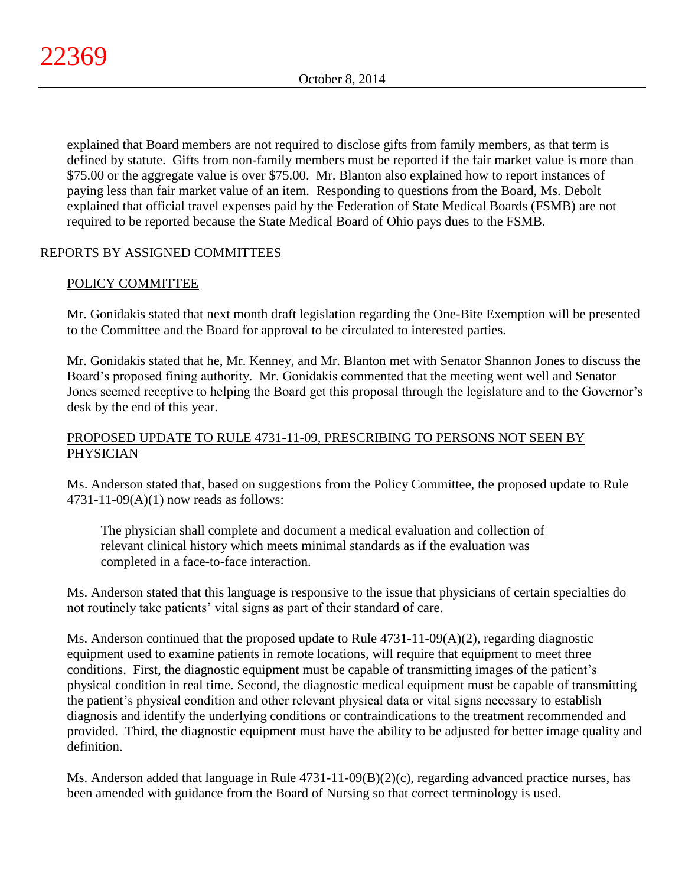explained that Board members are not required to disclose gifts from family members, as that term is defined by statute. Gifts from non-family members must be reported if the fair market value is more than \$75.00 or the aggregate value is over \$75.00. Mr. Blanton also explained how to report instances of paying less than fair market value of an item. Responding to questions from the Board, Ms. Debolt explained that official travel expenses paid by the Federation of State Medical Boards (FSMB) are not required to be reported because the State Medical Board of Ohio pays dues to the FSMB.

# REPORTS BY ASSIGNED COMMITTEES

# POLICY COMMITTEE

Mr. Gonidakis stated that next month draft legislation regarding the One-Bite Exemption will be presented to the Committee and the Board for approval to be circulated to interested parties.

Mr. Gonidakis stated that he, Mr. Kenney, and Mr. Blanton met with Senator Shannon Jones to discuss the Board's proposed fining authority. Mr. Gonidakis commented that the meeting went well and Senator Jones seemed receptive to helping the Board get this proposal through the legislature and to the Governor's desk by the end of this year.

# PROPOSED UPDATE TO RULE 4731-11-09, PRESCRIBING TO PERSONS NOT SEEN BY PHYSICIAN

Ms. Anderson stated that, based on suggestions from the Policy Committee, the proposed update to Rule  $4731-11-09(A)(1)$  now reads as follows:

The physician shall complete and document a medical evaluation and collection of relevant clinical history which meets minimal standards as if the evaluation was completed in a face-to-face interaction.

Ms. Anderson stated that this language is responsive to the issue that physicians of certain specialties do not routinely take patients' vital signs as part of their standard of care.

Ms. Anderson continued that the proposed update to Rule  $4731-11-09(A)(2)$ , regarding diagnostic equipment used to examine patients in remote locations, will require that equipment to meet three conditions. First, the diagnostic equipment must be capable of transmitting images of the patient's physical condition in real time. Second, the diagnostic medical equipment must be capable of transmitting the patient's physical condition and other relevant physical data or vital signs necessary to establish diagnosis and identify the underlying conditions or contraindications to the treatment recommended and provided. Third, the diagnostic equipment must have the ability to be adjusted for better image quality and definition.

Ms. Anderson added that language in Rule 4731-11-09(B)(2)(c), regarding advanced practice nurses, has been amended with guidance from the Board of Nursing so that correct terminology is used.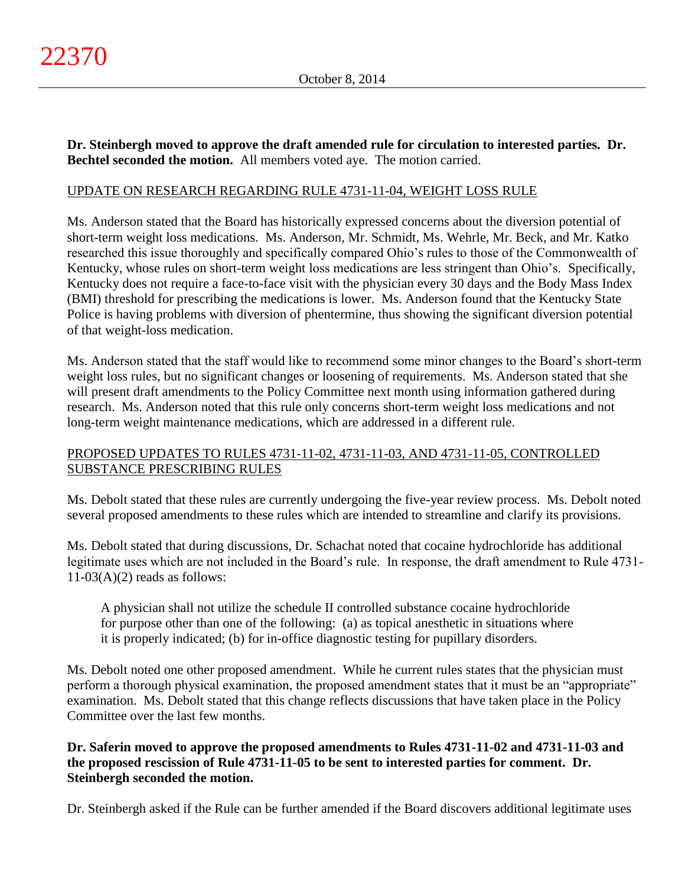**Dr. Steinbergh moved to approve the draft amended rule for circulation to interested parties. Dr. Bechtel seconded the motion.** All members voted aye. The motion carried.

## UPDATE ON RESEARCH REGARDING RULE 4731-11-04, WEIGHT LOSS RULE

Ms. Anderson stated that the Board has historically expressed concerns about the diversion potential of short-term weight loss medications. Ms. Anderson, Mr. Schmidt, Ms. Wehrle, Mr. Beck, and Mr. Katko researched this issue thoroughly and specifically compared Ohio's rules to those of the Commonwealth of Kentucky, whose rules on short-term weight loss medications are less stringent than Ohio's. Specifically, Kentucky does not require a face-to-face visit with the physician every 30 days and the Body Mass Index (BMI) threshold for prescribing the medications is lower. Ms. Anderson found that the Kentucky State Police is having problems with diversion of phentermine, thus showing the significant diversion potential of that weight-loss medication.

Ms. Anderson stated that the staff would like to recommend some minor changes to the Board's short-term weight loss rules, but no significant changes or loosening of requirements. Ms. Anderson stated that she will present draft amendments to the Policy Committee next month using information gathered during research. Ms. Anderson noted that this rule only concerns short-term weight loss medications and not long-term weight maintenance medications, which are addressed in a different rule.

# PROPOSED UPDATES TO RULES 4731-11-02, 4731-11-03, AND 4731-11-05, CONTROLLED SUBSTANCE PRESCRIBING RULES

Ms. Debolt stated that these rules are currently undergoing the five-year review process. Ms. Debolt noted several proposed amendments to these rules which are intended to streamline and clarify its provisions.

Ms. Debolt stated that during discussions, Dr. Schachat noted that cocaine hydrochloride has additional legitimate uses which are not included in the Board's rule. In response, the draft amendment to Rule 4731-  $11-03(A)(2)$  reads as follows:

A physician shall not utilize the schedule II controlled substance cocaine hydrochloride for purpose other than one of the following: (a) as topical anesthetic in situations where it is properly indicated; (b) for in-office diagnostic testing for pupillary disorders.

Ms. Debolt noted one other proposed amendment. While he current rules states that the physician must perform a thorough physical examination, the proposed amendment states that it must be an "appropriate" examination. Ms. Debolt stated that this change reflects discussions that have taken place in the Policy Committee over the last few months.

**Dr. Saferin moved to approve the proposed amendments to Rules 4731-11-02 and 4731-11-03 and the proposed rescission of Rule 4731-11-05 to be sent to interested parties for comment. Dr. Steinbergh seconded the motion.**

Dr. Steinbergh asked if the Rule can be further amended if the Board discovers additional legitimate uses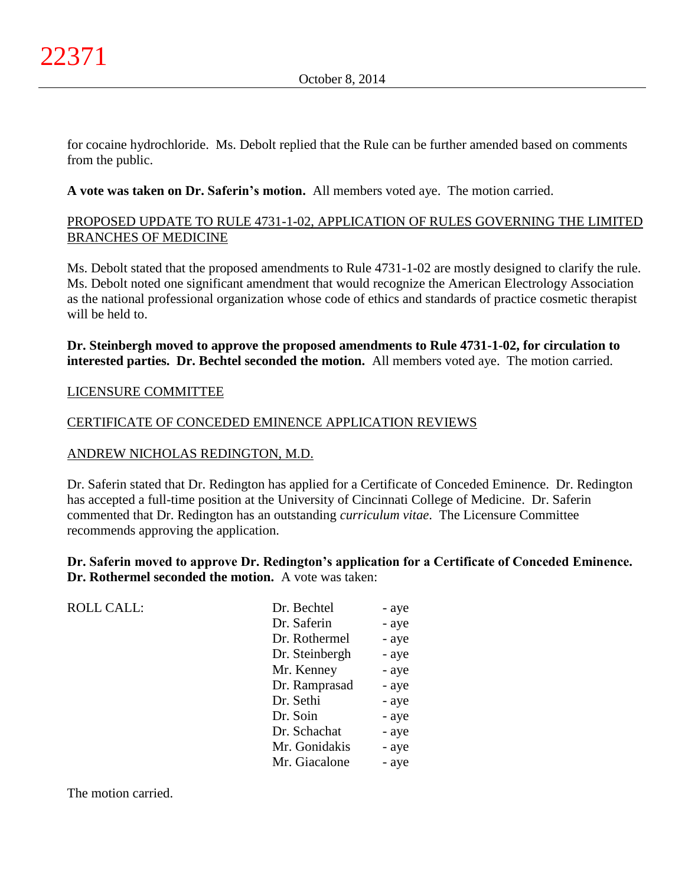for cocaine hydrochloride. Ms. Debolt replied that the Rule can be further amended based on comments from the public.

**A vote was taken on Dr. Saferin's motion.** All members voted aye. The motion carried.

# PROPOSED UPDATE TO RULE 4731-1-02, APPLICATION OF RULES GOVERNING THE LIMITED BRANCHES OF MEDICINE

Ms. Debolt stated that the proposed amendments to Rule 4731-1-02 are mostly designed to clarify the rule. Ms. Debolt noted one significant amendment that would recognize the American Electrology Association as the national professional organization whose code of ethics and standards of practice cosmetic therapist will be held to.

# **Dr. Steinbergh moved to approve the proposed amendments to Rule 4731-1-02, for circulation to interested parties. Dr. Bechtel seconded the motion.** All members voted aye. The motion carried.

## LICENSURE COMMITTEE

## CERTIFICATE OF CONCEDED EMINENCE APPLICATION REVIEWS

## ANDREW NICHOLAS REDINGTON, M.D.

Dr. Saferin stated that Dr. Redington has applied for a Certificate of Conceded Eminence. Dr. Redington has accepted a full-time position at the University of Cincinnati College of Medicine. Dr. Saferin commented that Dr. Redington has an outstanding *curriculum vitae*. The Licensure Committee recommends approving the application.

**Dr. Saferin moved to approve Dr. Redington's application for a Certificate of Conceded Eminence. Dr. Rothermel seconded the motion.** A vote was taken:

ROLL CALL:

| Dr. Bechtel    | - aye |
|----------------|-------|
| Dr. Saferin    | - aye |
| Dr. Rothermel  | - aye |
| Dr. Steinbergh | - aye |
| Mr. Kenney     | - aye |
| Dr. Ramprasad  | - aye |
| Dr. Sethi      | - aye |
| Dr. Soin       | - aye |
| Dr. Schachat   | - aye |
| Mr. Gonidakis  | - aye |
| Mr. Giacalone  | - aye |
|                |       |

The motion carried.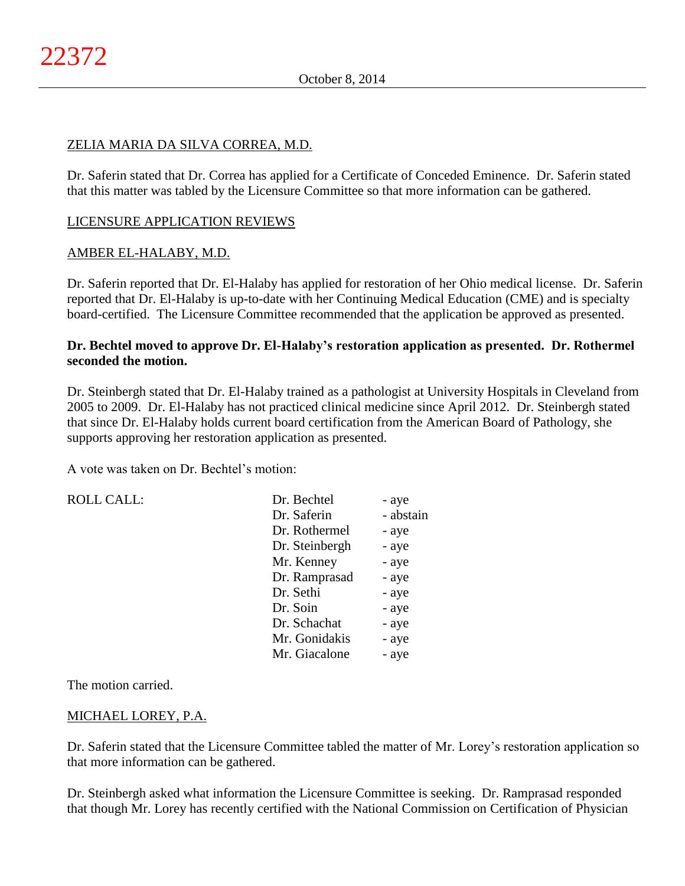## ZELIA MARIA DA SILVA CORREA, M.D.

Dr. Saferin stated that Dr. Correa has applied for a Certificate of Conceded Eminence. Dr. Saferin stated that this matter was tabled by the Licensure Committee so that more information can be gathered.

## LICENSURE APPLICATION REVIEWS

## AMBER EL-HALABY, M.D.

Dr. Saferin reported that Dr. El-Halaby has applied for restoration of her Ohio medical license. Dr. Saferin reported that Dr. El-Halaby is up-to-date with her Continuing Medical Education (CME) and is specialty board-certified. The Licensure Committee recommended that the application be approved as presented.

## **Dr. Bechtel moved to approve Dr. El-Halaby's restoration application as presented. Dr. Rothermel seconded the motion.**

Dr. Steinbergh stated that Dr. El-Halaby trained as a pathologist at University Hospitals in Cleveland from 2005 to 2009. Dr. El-Halaby has not practiced clinical medicine since April 2012. Dr. Steinbergh stated that since Dr. El-Halaby holds current board certification from the American Board of Pathology, she supports approving her restoration application as presented.

A vote was taken on Dr. Bechtel's motion:

| <b>ROLL CALL:</b> | Dr. Bechtel    | - aye     |
|-------------------|----------------|-----------|
|                   | Dr. Saferin    | - abstain |
|                   | Dr. Rothermel  | - aye     |
|                   | Dr. Steinbergh | - aye     |
|                   | Mr. Kenney     | - aye     |
|                   | Dr. Ramprasad  | - aye     |
|                   | Dr. Sethi      | - aye     |
|                   | Dr. Soin       | - aye     |
|                   | Dr. Schachat   | - aye     |
|                   | Mr. Gonidakis  | - aye     |
|                   | Mr. Giacalone  | - aye     |
|                   |                |           |

The motion carried.

## MICHAEL LOREY, P.A.

Dr. Saferin stated that the Licensure Committee tabled the matter of Mr. Lorey's restoration application so that more information can be gathered.

Dr. Steinbergh asked what information the Licensure Committee is seeking. Dr. Ramprasad responded that though Mr. Lorey has recently certified with the National Commission on Certification of Physician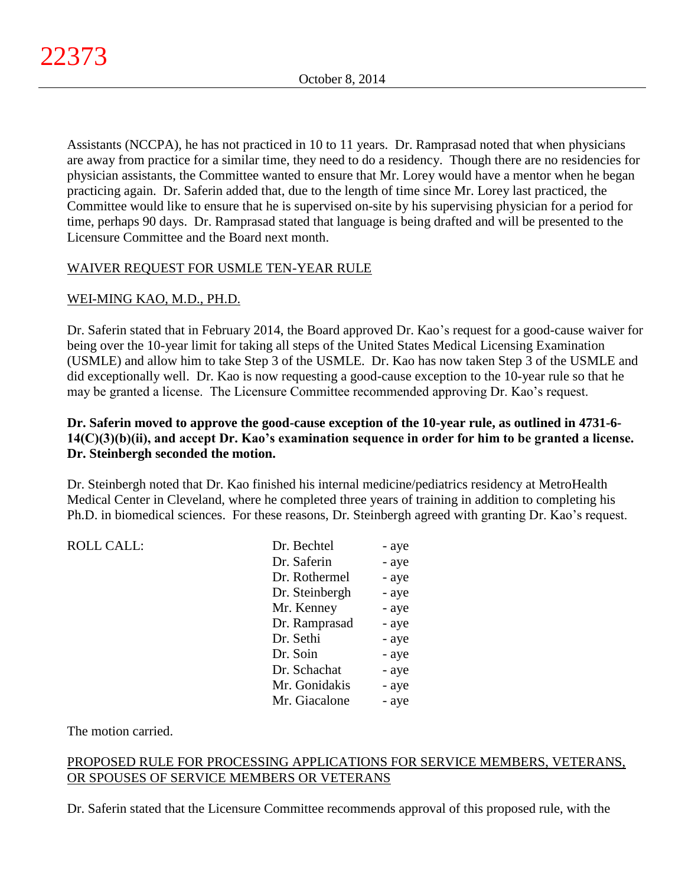Assistants (NCCPA), he has not practiced in 10 to 11 years. Dr. Ramprasad noted that when physicians are away from practice for a similar time, they need to do a residency. Though there are no residencies for physician assistants, the Committee wanted to ensure that Mr. Lorey would have a mentor when he began practicing again. Dr. Saferin added that, due to the length of time since Mr. Lorey last practiced, the Committee would like to ensure that he is supervised on-site by his supervising physician for a period for time, perhaps 90 days. Dr. Ramprasad stated that language is being drafted and will be presented to the Licensure Committee and the Board next month.

# WAIVER REQUEST FOR USMLE TEN-YEAR RULE

# WEI-MING KAO, M.D., PH.D.

Dr. Saferin stated that in February 2014, the Board approved Dr. Kao's request for a good-cause waiver for being over the 10-year limit for taking all steps of the United States Medical Licensing Examination (USMLE) and allow him to take Step 3 of the USMLE. Dr. Kao has now taken Step 3 of the USMLE and did exceptionally well. Dr. Kao is now requesting a good-cause exception to the 10-year rule so that he may be granted a license. The Licensure Committee recommended approving Dr. Kao's request.

# **Dr. Saferin moved to approve the good-cause exception of the 10-year rule, as outlined in 4731-6- 14(C)(3)(b)(ii), and accept Dr. Kao's examination sequence in order for him to be granted a license. Dr. Steinbergh seconded the motion.**

Dr. Steinbergh noted that Dr. Kao finished his internal medicine/pediatrics residency at MetroHealth Medical Center in Cleveland, where he completed three years of training in addition to completing his Ph.D. in biomedical sciences. For these reasons, Dr. Steinbergh agreed with granting Dr. Kao's request.

| <b>ROLL CALL:</b> | Dr. Bechtel    | - aye |
|-------------------|----------------|-------|
|                   | Dr. Saferin    | - aye |
|                   | Dr. Rothermel  | - aye |
|                   | Dr. Steinbergh | - aye |
|                   | Mr. Kenney     | - aye |
|                   | Dr. Ramprasad  | - aye |
|                   | Dr. Sethi      | - aye |
|                   | Dr. Soin       | - aye |
|                   | Dr. Schachat   | - aye |
|                   | Mr. Gonidakis  | - aye |
|                   | Mr. Giacalone  | - aye |
|                   |                |       |

The motion carried.

# PROPOSED RULE FOR PROCESSING APPLICATIONS FOR SERVICE MEMBERS, VETERANS, OR SPOUSES OF SERVICE MEMBERS OR VETERANS

Dr. Saferin stated that the Licensure Committee recommends approval of this proposed rule, with the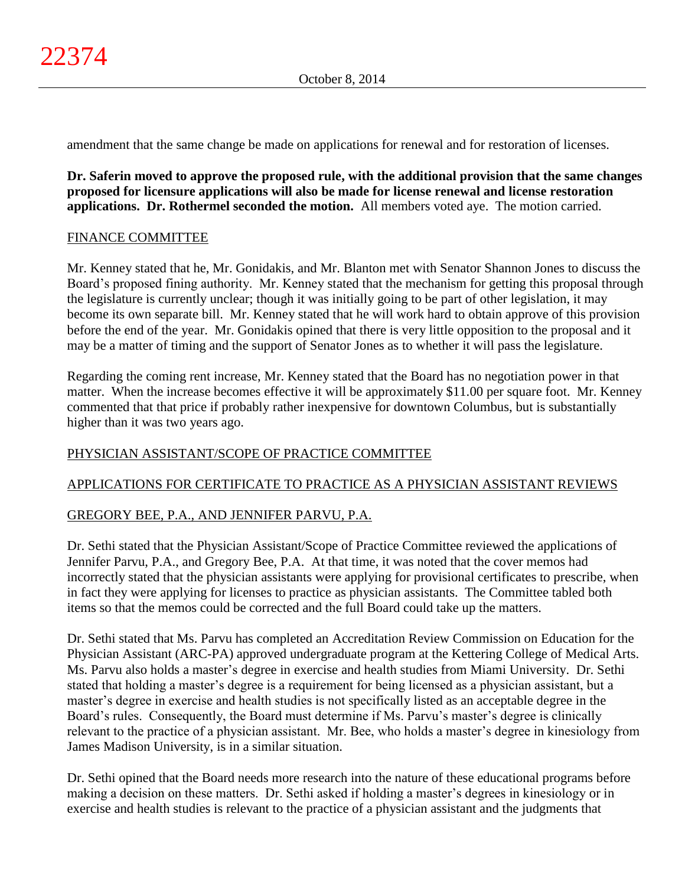amendment that the same change be made on applications for renewal and for restoration of licenses.

**Dr. Saferin moved to approve the proposed rule, with the additional provision that the same changes proposed for licensure applications will also be made for license renewal and license restoration applications. Dr. Rothermel seconded the motion.** All members voted aye. The motion carried.

## FINANCE COMMITTEE

Mr. Kenney stated that he, Mr. Gonidakis, and Mr. Blanton met with Senator Shannon Jones to discuss the Board's proposed fining authority. Mr. Kenney stated that the mechanism for getting this proposal through the legislature is currently unclear; though it was initially going to be part of other legislation, it may become its own separate bill. Mr. Kenney stated that he will work hard to obtain approve of this provision before the end of the year. Mr. Gonidakis opined that there is very little opposition to the proposal and it may be a matter of timing and the support of Senator Jones as to whether it will pass the legislature.

Regarding the coming rent increase, Mr. Kenney stated that the Board has no negotiation power in that matter. When the increase becomes effective it will be approximately \$11.00 per square foot. Mr. Kenney commented that that price if probably rather inexpensive for downtown Columbus, but is substantially higher than it was two years ago.

# PHYSICIAN ASSISTANT/SCOPE OF PRACTICE COMMITTEE

# APPLICATIONS FOR CERTIFICATE TO PRACTICE AS A PHYSICIAN ASSISTANT REVIEWS

# GREGORY BEE, P.A., AND JENNIFER PARVU, P.A.

Dr. Sethi stated that the Physician Assistant/Scope of Practice Committee reviewed the applications of Jennifer Parvu, P.A., and Gregory Bee, P.A. At that time, it was noted that the cover memos had incorrectly stated that the physician assistants were applying for provisional certificates to prescribe, when in fact they were applying for licenses to practice as physician assistants. The Committee tabled both items so that the memos could be corrected and the full Board could take up the matters.

Dr. Sethi stated that Ms. Parvu has completed an Accreditation Review Commission on Education for the Physician Assistant (ARC-PA) approved undergraduate program at the Kettering College of Medical Arts. Ms. Parvu also holds a master's degree in exercise and health studies from Miami University. Dr. Sethi stated that holding a master's degree is a requirement for being licensed as a physician assistant, but a master's degree in exercise and health studies is not specifically listed as an acceptable degree in the Board's rules. Consequently, the Board must determine if Ms. Parvu's master's degree is clinically relevant to the practice of a physician assistant. Mr. Bee, who holds a master's degree in kinesiology from James Madison University, is in a similar situation.

Dr. Sethi opined that the Board needs more research into the nature of these educational programs before making a decision on these matters. Dr. Sethi asked if holding a master's degrees in kinesiology or in exercise and health studies is relevant to the practice of a physician assistant and the judgments that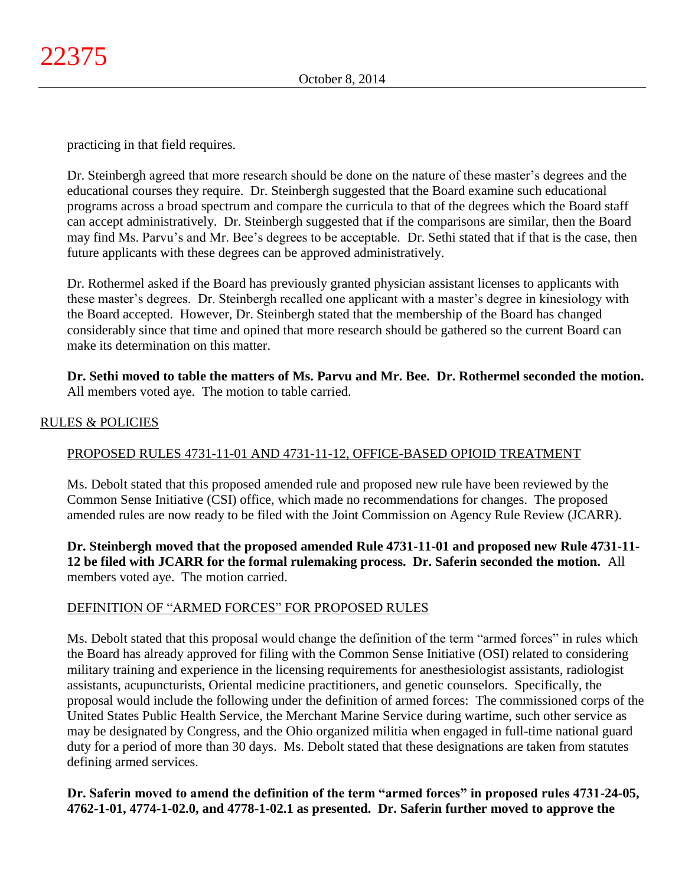practicing in that field requires.

Dr. Steinbergh agreed that more research should be done on the nature of these master's degrees and the educational courses they require. Dr. Steinbergh suggested that the Board examine such educational programs across a broad spectrum and compare the curricula to that of the degrees which the Board staff can accept administratively. Dr. Steinbergh suggested that if the comparisons are similar, then the Board may find Ms. Parvu's and Mr. Bee's degrees to be acceptable. Dr. Sethi stated that if that is the case, then future applicants with these degrees can be approved administratively.

Dr. Rothermel asked if the Board has previously granted physician assistant licenses to applicants with these master's degrees. Dr. Steinbergh recalled one applicant with a master's degree in kinesiology with the Board accepted. However, Dr. Steinbergh stated that the membership of the Board has changed considerably since that time and opined that more research should be gathered so the current Board can make its determination on this matter.

**Dr. Sethi moved to table the matters of Ms. Parvu and Mr. Bee. Dr. Rothermel seconded the motion.**  All members voted aye. The motion to table carried.

## RULES & POLICIES

## PROPOSED RULES 4731-11-01 AND 4731-11-12, OFFICE-BASED OPIOID TREATMENT

Ms. Debolt stated that this proposed amended rule and proposed new rule have been reviewed by the Common Sense Initiative (CSI) office, which made no recommendations for changes. The proposed amended rules are now ready to be filed with the Joint Commission on Agency Rule Review (JCARR).

**Dr. Steinbergh moved that the proposed amended Rule 4731-11-01 and proposed new Rule 4731-11- 12 be filed with JCARR for the formal rulemaking process. Dr. Saferin seconded the motion.** All members voted aye. The motion carried.

## DEFINITION OF "ARMED FORCES" FOR PROPOSED RULES

Ms. Debolt stated that this proposal would change the definition of the term "armed forces" in rules which the Board has already approved for filing with the Common Sense Initiative (OSI) related to considering military training and experience in the licensing requirements for anesthesiologist assistants, radiologist assistants, acupuncturists, Oriental medicine practitioners, and genetic counselors. Specifically, the proposal would include the following under the definition of armed forces: The commissioned corps of the United States Public Health Service, the Merchant Marine Service during wartime, such other service as may be designated by Congress, and the Ohio organized militia when engaged in full-time national guard duty for a period of more than 30 days. Ms. Debolt stated that these designations are taken from statutes defining armed services.

**Dr. Saferin moved to amend the definition of the term "armed forces" in proposed rules 4731-24-05, 4762-1-01, 4774-1-02.0, and 4778-1-02.1 as presented. Dr. Saferin further moved to approve the**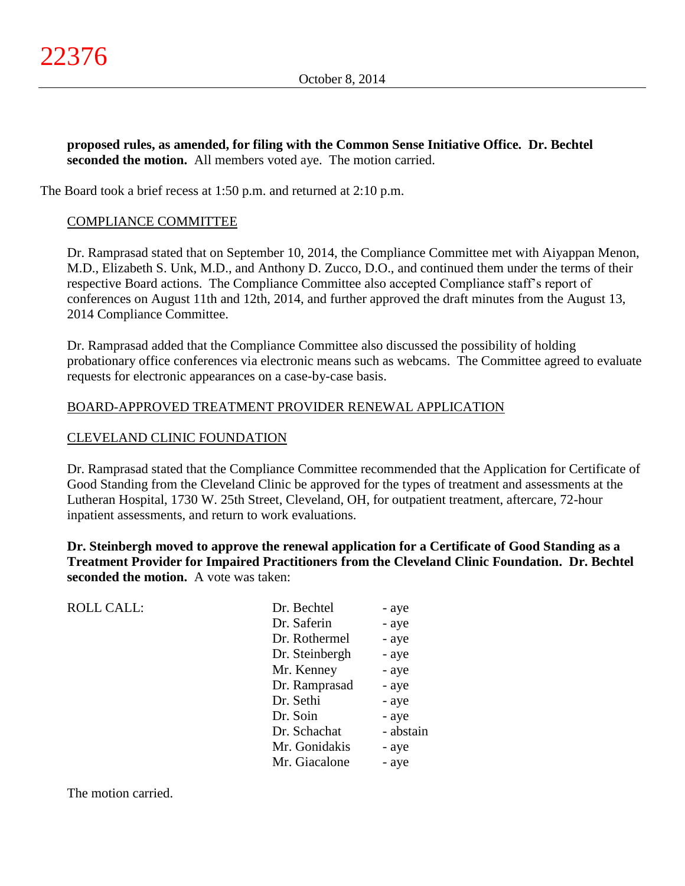**proposed rules, as amended, for filing with the Common Sense Initiative Office. Dr. Bechtel seconded the motion.** All members voted aye. The motion carried.

The Board took a brief recess at 1:50 p.m. and returned at 2:10 p.m.

## COMPLIANCE COMMITTEE

Dr. Ramprasad stated that on September 10, 2014, the Compliance Committee met with Aiyappan Menon, M.D., Elizabeth S. Unk, M.D., and Anthony D. Zucco, D.O., and continued them under the terms of their respective Board actions. The Compliance Committee also accepted Compliance staff's report of conferences on August 11th and 12th, 2014, and further approved the draft minutes from the August 13, 2014 Compliance Committee.

Dr. Ramprasad added that the Compliance Committee also discussed the possibility of holding probationary office conferences via electronic means such as webcams. The Committee agreed to evaluate requests for electronic appearances on a case-by-case basis.

## BOARD-APPROVED TREATMENT PROVIDER RENEWAL APPLICATION

## CLEVELAND CLINIC FOUNDATION

Dr. Ramprasad stated that the Compliance Committee recommended that the Application for Certificate of Good Standing from the Cleveland Clinic be approved for the types of treatment and assessments at the Lutheran Hospital, 1730 W. 25th Street, Cleveland, OH, for outpatient treatment, aftercare, 72-hour inpatient assessments, and return to work evaluations.

**Dr. Steinbergh moved to approve the renewal application for a Certificate of Good Standing as a Treatment Provider for Impaired Practitioners from the Cleveland Clinic Foundation. Dr. Bechtel seconded the motion.** A vote was taken:

| <b>ROLL CALL:</b> | Dr. Bechtel    | - aye     |
|-------------------|----------------|-----------|
|                   | Dr. Saferin    | - aye     |
|                   | Dr. Rothermel  | - aye     |
|                   | Dr. Steinbergh | - aye     |
|                   | Mr. Kenney     | - aye     |
|                   | Dr. Ramprasad  | - aye     |
|                   | Dr. Sethi      | - aye     |
|                   | Dr. Soin       | - aye     |
|                   | Dr. Schachat   | - abstain |
|                   | Mr. Gonidakis  | - aye     |
|                   | Mr. Giacalone  | - aye     |
|                   |                |           |

The motion carried.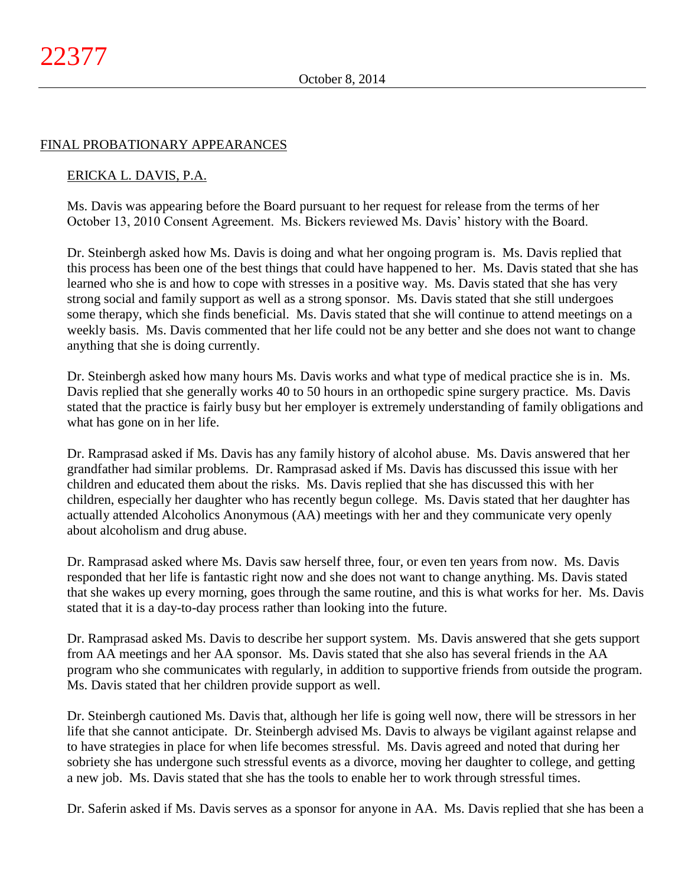## FINAL PROBATIONARY APPEARANCES

### ERICKA L. DAVIS, P.A.

Ms. Davis was appearing before the Board pursuant to her request for release from the terms of her October 13, 2010 Consent Agreement. Ms. Bickers reviewed Ms. Davis' history with the Board.

Dr. Steinbergh asked how Ms. Davis is doing and what her ongoing program is. Ms. Davis replied that this process has been one of the best things that could have happened to her. Ms. Davis stated that she has learned who she is and how to cope with stresses in a positive way. Ms. Davis stated that she has very strong social and family support as well as a strong sponsor. Ms. Davis stated that she still undergoes some therapy, which she finds beneficial. Ms. Davis stated that she will continue to attend meetings on a weekly basis. Ms. Davis commented that her life could not be any better and she does not want to change anything that she is doing currently.

Dr. Steinbergh asked how many hours Ms. Davis works and what type of medical practice she is in. Ms. Davis replied that she generally works 40 to 50 hours in an orthopedic spine surgery practice. Ms. Davis stated that the practice is fairly busy but her employer is extremely understanding of family obligations and what has gone on in her life.

Dr. Ramprasad asked if Ms. Davis has any family history of alcohol abuse. Ms. Davis answered that her grandfather had similar problems. Dr. Ramprasad asked if Ms. Davis has discussed this issue with her children and educated them about the risks. Ms. Davis replied that she has discussed this with her children, especially her daughter who has recently begun college. Ms. Davis stated that her daughter has actually attended Alcoholics Anonymous (AA) meetings with her and they communicate very openly about alcoholism and drug abuse.

Dr. Ramprasad asked where Ms. Davis saw herself three, four, or even ten years from now. Ms. Davis responded that her life is fantastic right now and she does not want to change anything. Ms. Davis stated that she wakes up every morning, goes through the same routine, and this is what works for her. Ms. Davis stated that it is a day-to-day process rather than looking into the future.

Dr. Ramprasad asked Ms. Davis to describe her support system. Ms. Davis answered that she gets support from AA meetings and her AA sponsor. Ms. Davis stated that she also has several friends in the AA program who she communicates with regularly, in addition to supportive friends from outside the program. Ms. Davis stated that her children provide support as well.

Dr. Steinbergh cautioned Ms. Davis that, although her life is going well now, there will be stressors in her life that she cannot anticipate. Dr. Steinbergh advised Ms. Davis to always be vigilant against relapse and to have strategies in place for when life becomes stressful. Ms. Davis agreed and noted that during her sobriety she has undergone such stressful events as a divorce, moving her daughter to college, and getting a new job. Ms. Davis stated that she has the tools to enable her to work through stressful times.

Dr. Saferin asked if Ms. Davis serves as a sponsor for anyone in AA. Ms. Davis replied that she has been a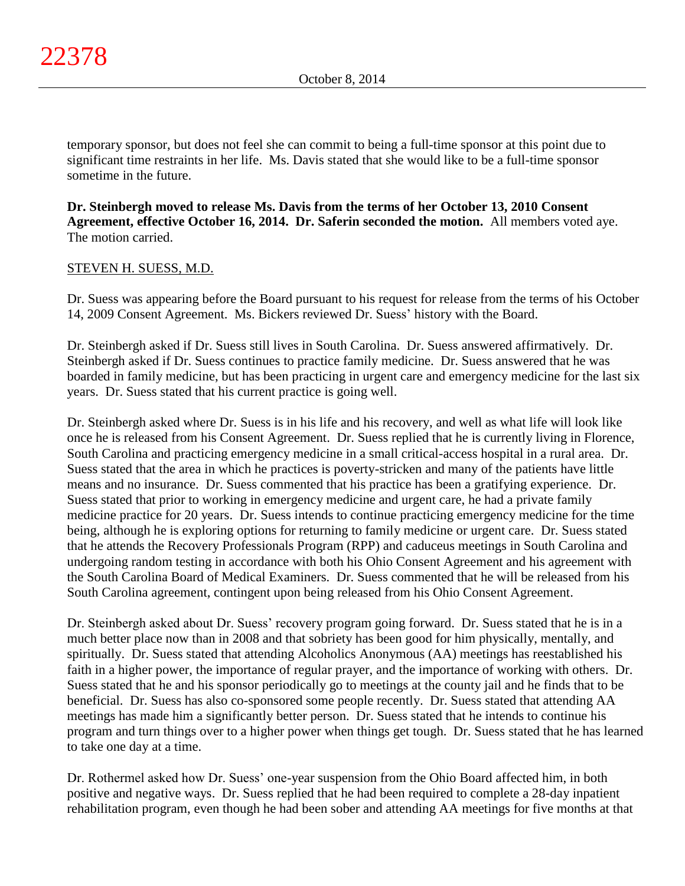temporary sponsor, but does not feel she can commit to being a full-time sponsor at this point due to significant time restraints in her life. Ms. Davis stated that she would like to be a full-time sponsor sometime in the future.

**Dr. Steinbergh moved to release Ms. Davis from the terms of her October 13, 2010 Consent Agreement, effective October 16, 2014. Dr. Saferin seconded the motion.** All members voted aye. The motion carried.

## STEVEN H. SUESS, M.D.

Dr. Suess was appearing before the Board pursuant to his request for release from the terms of his October 14, 2009 Consent Agreement. Ms. Bickers reviewed Dr. Suess' history with the Board.

Dr. Steinbergh asked if Dr. Suess still lives in South Carolina. Dr. Suess answered affirmatively. Dr. Steinbergh asked if Dr. Suess continues to practice family medicine. Dr. Suess answered that he was boarded in family medicine, but has been practicing in urgent care and emergency medicine for the last six years. Dr. Suess stated that his current practice is going well.

Dr. Steinbergh asked where Dr. Suess is in his life and his recovery, and well as what life will look like once he is released from his Consent Agreement. Dr. Suess replied that he is currently living in Florence, South Carolina and practicing emergency medicine in a small critical-access hospital in a rural area. Dr. Suess stated that the area in which he practices is poverty-stricken and many of the patients have little means and no insurance. Dr. Suess commented that his practice has been a gratifying experience. Dr. Suess stated that prior to working in emergency medicine and urgent care, he had a private family medicine practice for 20 years. Dr. Suess intends to continue practicing emergency medicine for the time being, although he is exploring options for returning to family medicine or urgent care. Dr. Suess stated that he attends the Recovery Professionals Program (RPP) and caduceus meetings in South Carolina and undergoing random testing in accordance with both his Ohio Consent Agreement and his agreement with the South Carolina Board of Medical Examiners. Dr. Suess commented that he will be released from his South Carolina agreement, contingent upon being released from his Ohio Consent Agreement.

Dr. Steinbergh asked about Dr. Suess' recovery program going forward. Dr. Suess stated that he is in a much better place now than in 2008 and that sobriety has been good for him physically, mentally, and spiritually. Dr. Suess stated that attending Alcoholics Anonymous (AA) meetings has reestablished his faith in a higher power, the importance of regular prayer, and the importance of working with others. Dr. Suess stated that he and his sponsor periodically go to meetings at the county jail and he finds that to be beneficial. Dr. Suess has also co-sponsored some people recently. Dr. Suess stated that attending AA meetings has made him a significantly better person. Dr. Suess stated that he intends to continue his program and turn things over to a higher power when things get tough. Dr. Suess stated that he has learned to take one day at a time.

Dr. Rothermel asked how Dr. Suess' one-year suspension from the Ohio Board affected him, in both positive and negative ways. Dr. Suess replied that he had been required to complete a 28-day inpatient rehabilitation program, even though he had been sober and attending AA meetings for five months at that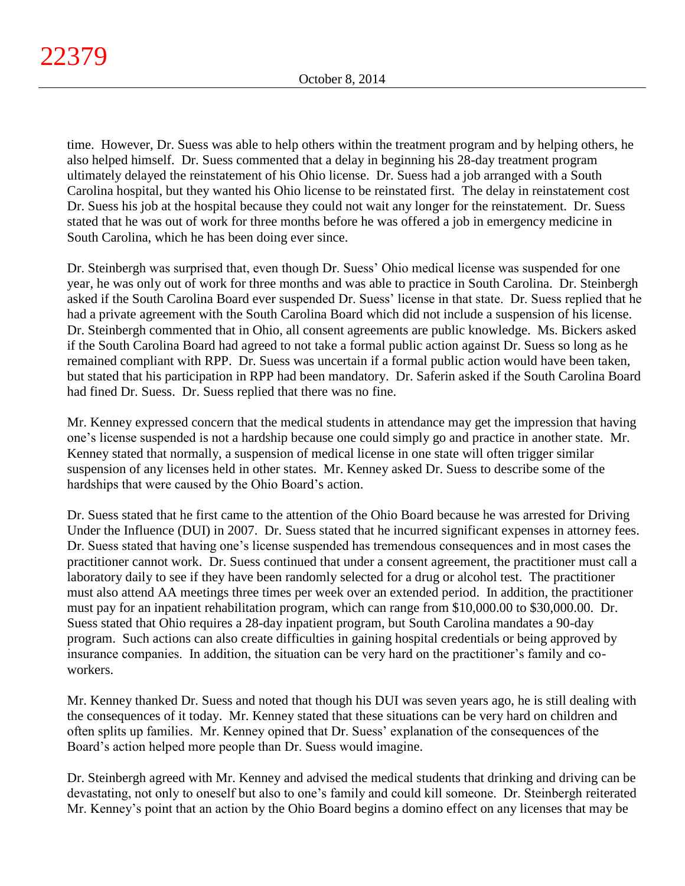time. However, Dr. Suess was able to help others within the treatment program and by helping others, he also helped himself. Dr. Suess commented that a delay in beginning his 28-day treatment program ultimately delayed the reinstatement of his Ohio license. Dr. Suess had a job arranged with a South Carolina hospital, but they wanted his Ohio license to be reinstated first. The delay in reinstatement cost Dr. Suess his job at the hospital because they could not wait any longer for the reinstatement. Dr. Suess stated that he was out of work for three months before he was offered a job in emergency medicine in South Carolina, which he has been doing ever since.

Dr. Steinbergh was surprised that, even though Dr. Suess' Ohio medical license was suspended for one year, he was only out of work for three months and was able to practice in South Carolina. Dr. Steinbergh asked if the South Carolina Board ever suspended Dr. Suess' license in that state. Dr. Suess replied that he had a private agreement with the South Carolina Board which did not include a suspension of his license. Dr. Steinbergh commented that in Ohio, all consent agreements are public knowledge. Ms. Bickers asked if the South Carolina Board had agreed to not take a formal public action against Dr. Suess so long as he remained compliant with RPP. Dr. Suess was uncertain if a formal public action would have been taken, but stated that his participation in RPP had been mandatory. Dr. Saferin asked if the South Carolina Board had fined Dr. Suess. Dr. Suess replied that there was no fine.

Mr. Kenney expressed concern that the medical students in attendance may get the impression that having one's license suspended is not a hardship because one could simply go and practice in another state. Mr. Kenney stated that normally, a suspension of medical license in one state will often trigger similar suspension of any licenses held in other states. Mr. Kenney asked Dr. Suess to describe some of the hardships that were caused by the Ohio Board's action.

Dr. Suess stated that he first came to the attention of the Ohio Board because he was arrested for Driving Under the Influence (DUI) in 2007. Dr. Suess stated that he incurred significant expenses in attorney fees. Dr. Suess stated that having one's license suspended has tremendous consequences and in most cases the practitioner cannot work. Dr. Suess continued that under a consent agreement, the practitioner must call a laboratory daily to see if they have been randomly selected for a drug or alcohol test. The practitioner must also attend AA meetings three times per week over an extended period. In addition, the practitioner must pay for an inpatient rehabilitation program, which can range from \$10,000.00 to \$30,000.00. Dr. Suess stated that Ohio requires a 28-day inpatient program, but South Carolina mandates a 90-day program. Such actions can also create difficulties in gaining hospital credentials or being approved by insurance companies. In addition, the situation can be very hard on the practitioner's family and coworkers.

Mr. Kenney thanked Dr. Suess and noted that though his DUI was seven years ago, he is still dealing with the consequences of it today. Mr. Kenney stated that these situations can be very hard on children and often splits up families. Mr. Kenney opined that Dr. Suess' explanation of the consequences of the Board's action helped more people than Dr. Suess would imagine.

Dr. Steinbergh agreed with Mr. Kenney and advised the medical students that drinking and driving can be devastating, not only to oneself but also to one's family and could kill someone. Dr. Steinbergh reiterated Mr. Kenney's point that an action by the Ohio Board begins a domino effect on any licenses that may be